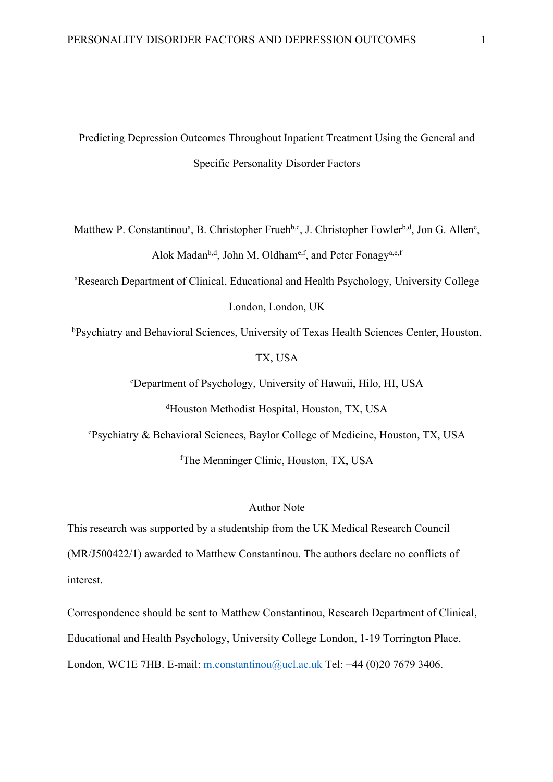Predicting Depression Outcomes Throughout Inpatient Treatment Using the General and Specific Personality Disorder Factors

Matthew P. Constantinou<sup>a</sup>, B. Christopher Frueh<sup>b,c</sup>, J. Christopher Fowler<sup>b,d</sup>, Jon G. Allen<sup>e</sup>, Alok Madan<sup>b,d</sup>, John M. Oldham<sup>e,f</sup>, and Peter Fonagy<sup>a,e,f</sup>

<sup>a</sup>Research Department of Clinical, Educational and Health Psychology, University College London, London, UK

<sup>b</sup>Psychiatry and Behavioral Sciences, University of Texas Health Sciences Center, Houston,

### TX, USA

c Department of Psychology, University of Hawaii, Hilo, HI, USA

d Houston Methodist Hospital, Houston, TX, USA

e Psychiatry & Behavioral Sciences, Baylor College of Medicine, Houston, TX, USA f The Menninger Clinic, Houston, TX, USA

# Author Note

This research was supported by a studentship from the UK Medical Research Council (MR/J500422/1) awarded to Matthew Constantinou. The authors declare no conflicts of interest.

Correspondence should be sent to Matthew Constantinou, Research Department of Clinical, Educational and Health Psychology, University College London, 1-19 Torrington Place, London, WC1E 7HB. E-mail: m.constantinou@ucl.ac.uk Tel: +44 (0)20 7679 3406.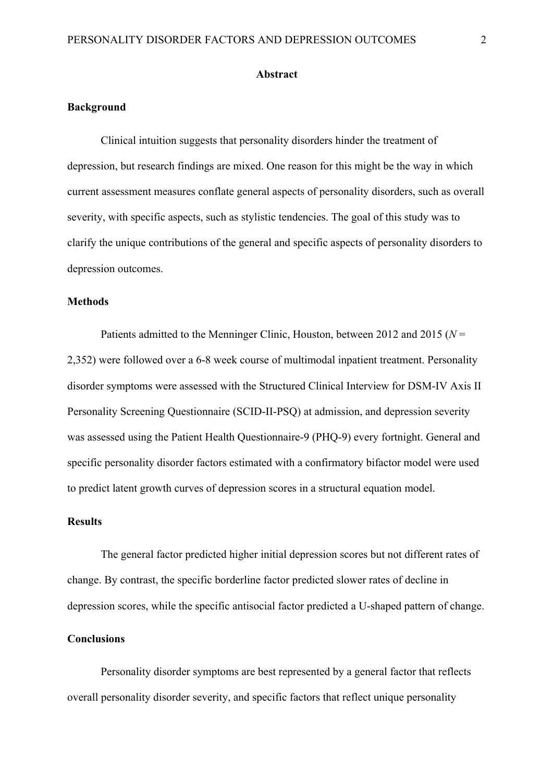#### **Abstract**

# **Background**

Clinical intuition suggests that personality disorders hinder the treatment of depression, but research findings are mixed. One reason for this might be the way in which current assessment measures conflate general aspects of personality disorders, such as overall severity, with specific aspects, such as stylistic tendencies. The goal of this study was to clarify the unique contributions of the general and specific aspects of personality disorders to depression outcomes.

# **Methods**

Patients admitted to the Menninger Clinic, Houston, between 2012 and 2015 (*N* = 2,352) were followed over a 6-8 week course of multimodal inpatient treatment. Personality disorder symptoms were assessed with the Structured Clinical Interview for DSM-IV Axis II Personality Screening Questionnaire (SCID-II-PSQ) at admission, and depression severity was assessed using the Patient Health Questionnaire-9 (PHQ-9) every fortnight. General and specific personality disorder factors estimated with a confirmatory bifactor model were used to predict latent growth curves of depression scores in a structural equation model.

# **Results**

The general factor predicted higher initial depression scores but not different rates of change. By contrast, the specific borderline factor predicted slower rates of decline in depression scores, while the specific antisocial factor predicted a U-shaped pattern of change.

# **Conclusions**

Personality disorder symptoms are best represented by a general factor that reflects overall personality disorder severity, and specific factors that reflect unique personality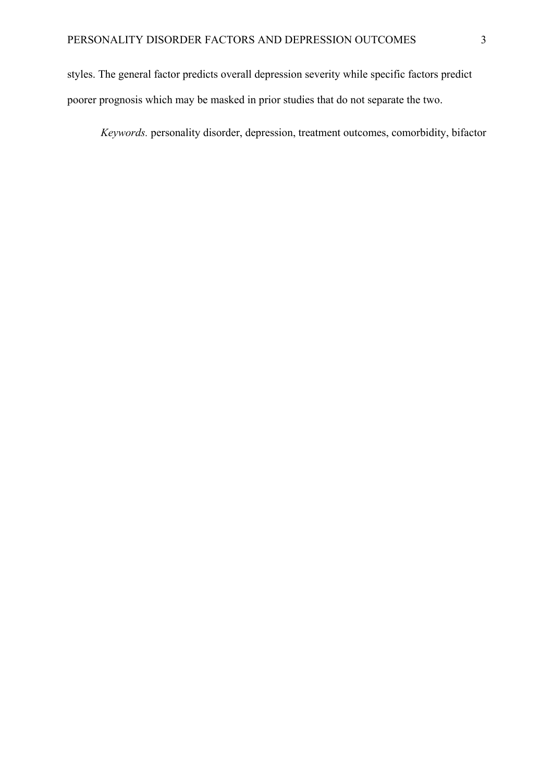styles. The general factor predicts overall depression severity while specific factors predict poorer prognosis which may be masked in prior studies that do not separate the two.

*Keywords.* personality disorder, depression, treatment outcomes, comorbidity, bifactor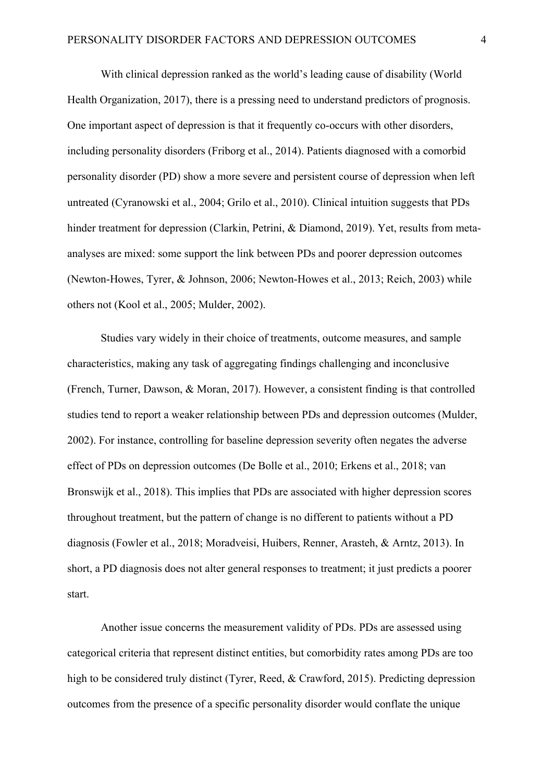With clinical depression ranked as the world's leading cause of disability (World Health Organization, 2017), there is a pressing need to understand predictors of prognosis. One important aspect of depression is that it frequently co-occurs with other disorders, including personality disorders (Friborg et al., 2014). Patients diagnosed with a comorbid personality disorder (PD) show a more severe and persistent course of depression when left untreated (Cyranowski et al., 2004; Grilo et al., 2010). Clinical intuition suggests that PDs hinder treatment for depression (Clarkin, Petrini, & Diamond, 2019). Yet, results from metaanalyses are mixed: some support the link between PDs and poorer depression outcomes (Newton-Howes, Tyrer, & Johnson, 2006; Newton-Howes et al., 2013; Reich, 2003) while others not (Kool et al., 2005; Mulder, 2002).

Studies vary widely in their choice of treatments, outcome measures, and sample characteristics, making any task of aggregating findings challenging and inconclusive (French, Turner, Dawson, & Moran, 2017). However, a consistent finding is that controlled studies tend to report a weaker relationship between PDs and depression outcomes (Mulder, 2002). For instance, controlling for baseline depression severity often negates the adverse effect of PDs on depression outcomes (De Bolle et al., 2010; Erkens et al., 2018; van Bronswijk et al., 2018). This implies that PDs are associated with higher depression scores throughout treatment, but the pattern of change is no different to patients without a PD diagnosis (Fowler et al., 2018; Moradveisi, Huibers, Renner, Arasteh, & Arntz, 2013). In short, a PD diagnosis does not alter general responses to treatment; it just predicts a poorer start.

Another issue concerns the measurement validity of PDs. PDs are assessed using categorical criteria that represent distinct entities, but comorbidity rates among PDs are too high to be considered truly distinct (Tyrer, Reed, & Crawford, 2015). Predicting depression outcomes from the presence of a specific personality disorder would conflate the unique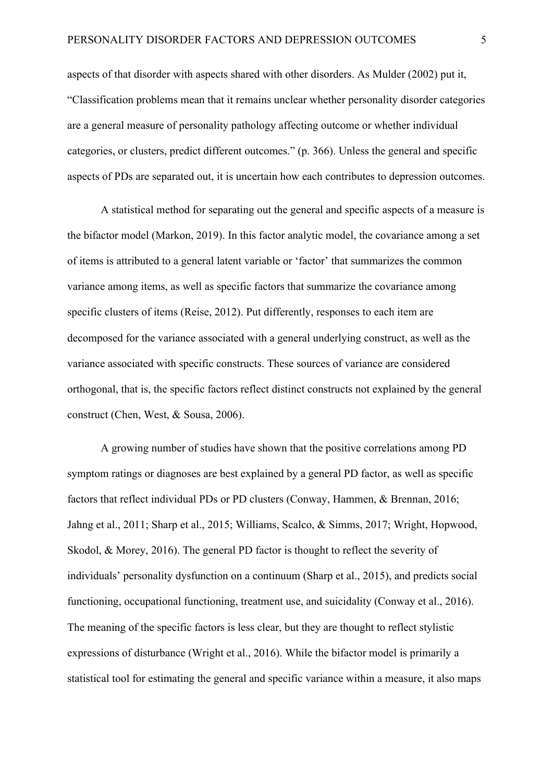aspects of that disorder with aspects shared with other disorders. As Mulder (2002) put it, "Classification problems mean that it remains unclear whether personality disorder categories are a general measure of personality pathology affecting outcome or whether individual categories, or clusters, predict different outcomes." (p. 366). Unless the general and specific aspects of PDs are separated out, it is uncertain how each contributes to depression outcomes.

A statistical method for separating out the general and specific aspects of a measure is the bifactor model (Markon, 2019). In this factor analytic model, the covariance among a set of items is attributed to a general latent variable or 'factor' that summarizes the common variance among items, as well as specific factors that summarize the covariance among specific clusters of items (Reise, 2012). Put differently, responses to each item are decomposed for the variance associated with a general underlying construct, as well as the variance associated with specific constructs. These sources of variance are considered orthogonal, that is, the specific factors reflect distinct constructs not explained by the general construct (Chen, West, & Sousa, 2006).

A growing number of studies have shown that the positive correlations among PD symptom ratings or diagnoses are best explained by a general PD factor, as well as specific factors that reflect individual PDs or PD clusters (Conway, Hammen, & Brennan, 2016; Jahng et al., 2011; Sharp et al., 2015; Williams, Scalco, & Simms, 2017; Wright, Hopwood, Skodol, & Morey, 2016). The general PD factor is thought to reflect the severity of individuals' personality dysfunction on a continuum (Sharp et al., 2015), and predicts social functioning, occupational functioning, treatment use, and suicidality (Conway et al., 2016). The meaning of the specific factors is less clear, but they are thought to reflect stylistic expressions of disturbance (Wright et al., 2016). While the bifactor model is primarily a statistical tool for estimating the general and specific variance within a measure, it also maps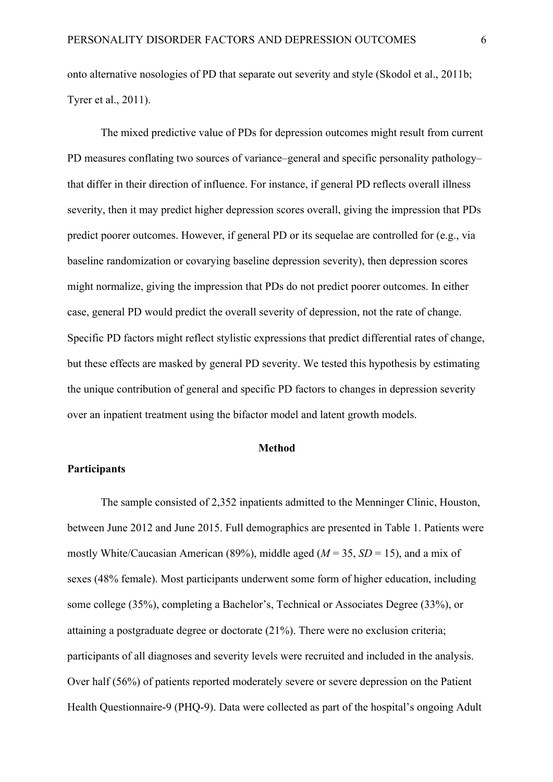onto alternative nosologies of PD that separate out severity and style (Skodol et al., 2011b; Tyrer et al., 2011).

The mixed predictive value of PDs for depression outcomes might result from current PD measures conflating two sources of variance–general and specific personality pathology– that differ in their direction of influence. For instance, if general PD reflects overall illness severity, then it may predict higher depression scores overall, giving the impression that PDs predict poorer outcomes. However, if general PD or its sequelae are controlled for (e.g., via baseline randomization or covarying baseline depression severity), then depression scores might normalize, giving the impression that PDs do not predict poorer outcomes. In either case, general PD would predict the overall severity of depression, not the rate of change. Specific PD factors might reflect stylistic expressions that predict differential rates of change, but these effects are masked by general PD severity. We tested this hypothesis by estimating the unique contribution of general and specific PD factors to changes in depression severity over an inpatient treatment using the bifactor model and latent growth models.

#### **Method**

# **Participants**

The sample consisted of 2,352 inpatients admitted to the Menninger Clinic, Houston, between June 2012 and June 2015. Full demographics are presented in Table 1. Patients were mostly White/Caucasian American (89%), middle aged (*M* = 35, *SD* = 15), and a mix of sexes (48% female). Most participants underwent some form of higher education, including some college (35%), completing a Bachelor's, Technical or Associates Degree (33%), or attaining a postgraduate degree or doctorate (21%). There were no exclusion criteria; participants of all diagnoses and severity levels were recruited and included in the analysis. Over half (56%) of patients reported moderately severe or severe depression on the Patient Health Questionnaire-9 (PHQ-9). Data were collected as part of the hospital's ongoing Adult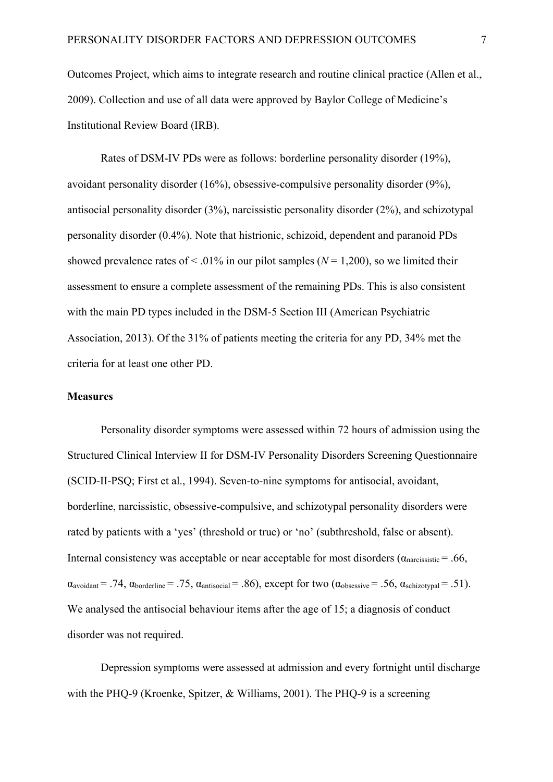Outcomes Project, which aims to integrate research and routine clinical practice (Allen et al., 2009). Collection and use of all data were approved by Baylor College of Medicine's Institutional Review Board (IRB).

Rates of DSM-IV PDs were as follows: borderline personality disorder (19%), avoidant personality disorder (16%), obsessive-compulsive personality disorder (9%), antisocial personality disorder (3%), narcissistic personality disorder (2%), and schizotypal personality disorder (0.4%). Note that histrionic, schizoid, dependent and paranoid PDs showed prevalence rates of  $\leq$  0.1% in our pilot samples ( $N = 1,200$ ), so we limited their assessment to ensure a complete assessment of the remaining PDs. This is also consistent with the main PD types included in the DSM-5 Section III (American Psychiatric Association, 2013). Of the 31% of patients meeting the criteria for any PD, 34% met the criteria for at least one other PD.

## **Measures**

Personality disorder symptoms were assessed within 72 hours of admission using the Structured Clinical Interview II for DSM-IV Personality Disorders Screening Questionnaire (SCID-II-PSQ; First et al., 1994). Seven-to-nine symptoms for antisocial, avoidant, borderline, narcissistic, obsessive-compulsive, and schizotypal personality disorders were rated by patients with a 'yes' (threshold or true) or 'no' (subthreshold, false or absent). Internal consistency was acceptable or near acceptable for most disorders ( $\alpha_{\text{narcissistic}} = .66$ ,  $\alpha_{\text{avoidant}} = .74$ ,  $\alpha_{\text{borderline}} = .75$ ,  $\alpha_{\text{antisocial}} = .86$ ), except for two  $(\alpha_{\text{obsessive}} = .56, \alpha_{\text{schizotval}} = .51)$ . We analysed the antisocial behaviour items after the age of 15; a diagnosis of conduct disorder was not required.

Depression symptoms were assessed at admission and every fortnight until discharge with the PHQ-9 (Kroenke, Spitzer, & Williams, 2001). The PHQ-9 is a screening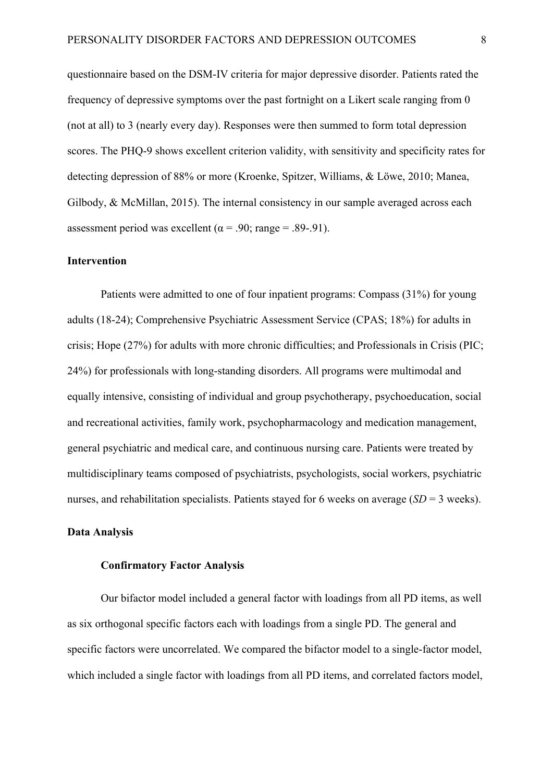questionnaire based on the DSM-IV criteria for major depressive disorder. Patients rated the frequency of depressive symptoms over the past fortnight on a Likert scale ranging from 0 (not at all) to 3 (nearly every day). Responses were then summed to form total depression scores. The PHQ-9 shows excellent criterion validity, with sensitivity and specificity rates for detecting depression of 88% or more (Kroenke, Spitzer, Williams, & Löwe, 2010; Manea, Gilbody, & McMillan, 2015). The internal consistency in our sample averaged across each assessment period was excellent ( $\alpha$  = .90; range = .89-.91).

#### **Intervention**

Patients were admitted to one of four inpatient programs: Compass (31%) for young adults (18-24); Comprehensive Psychiatric Assessment Service (CPAS; 18%) for adults in crisis; Hope (27%) for adults with more chronic difficulties; and Professionals in Crisis (PIC; 24%) for professionals with long-standing disorders. All programs were multimodal and equally intensive, consisting of individual and group psychotherapy, psychoeducation, social and recreational activities, family work, psychopharmacology and medication management, general psychiatric and medical care, and continuous nursing care. Patients were treated by multidisciplinary teams composed of psychiatrists, psychologists, social workers, psychiatric nurses, and rehabilitation specialists. Patients stayed for 6 weeks on average (*SD* = 3 weeks).

## **Data Analysis**

# **Confirmatory Factor Analysis**

Our bifactor model included a general factor with loadings from all PD items, as well as six orthogonal specific factors each with loadings from a single PD. The general and specific factors were uncorrelated. We compared the bifactor model to a single-factor model, which included a single factor with loadings from all PD items, and correlated factors model,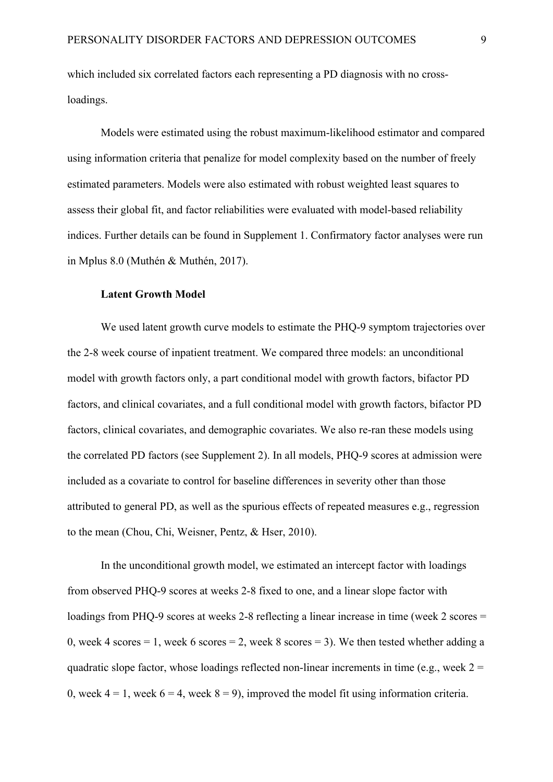which included six correlated factors each representing a PD diagnosis with no crossloadings.

Models were estimated using the robust maximum-likelihood estimator and compared using information criteria that penalize for model complexity based on the number of freely estimated parameters. Models were also estimated with robust weighted least squares to assess their global fit, and factor reliabilities were evaluated with model-based reliability indices. Further details can be found in Supplement 1. Confirmatory factor analyses were run in Mplus 8.0 (Muthén & Muthén, 2017).

## **Latent Growth Model**

We used latent growth curve models to estimate the PHQ-9 symptom trajectories over the 2-8 week course of inpatient treatment. We compared three models: an unconditional model with growth factors only, a part conditional model with growth factors, bifactor PD factors, and clinical covariates, and a full conditional model with growth factors, bifactor PD factors, clinical covariates, and demographic covariates. We also re-ran these models using the correlated PD factors (see Supplement 2). In all models, PHQ-9 scores at admission were included as a covariate to control for baseline differences in severity other than those attributed to general PD, as well as the spurious effects of repeated measures e.g., regression to the mean (Chou, Chi, Weisner, Pentz, & Hser, 2010).

In the unconditional growth model, we estimated an intercept factor with loadings from observed PHQ-9 scores at weeks 2-8 fixed to one, and a linear slope factor with loadings from PHQ-9 scores at weeks 2-8 reflecting a linear increase in time (week 2 scores = 0, week 4 scores = 1, week 6 scores = 2, week 8 scores = 3). We then tested whether adding a quadratic slope factor, whose loadings reflected non-linear increments in time (e.g., week  $2 =$ 0, week  $4 = 1$ , week  $6 = 4$ , week  $8 = 9$ ), improved the model fit using information criteria.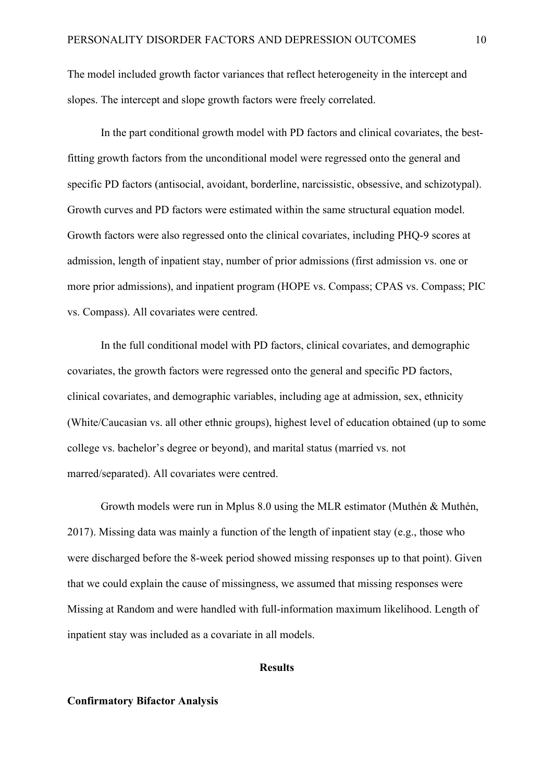The model included growth factor variances that reflect heterogeneity in the intercept and slopes. The intercept and slope growth factors were freely correlated.

In the part conditional growth model with PD factors and clinical covariates, the bestfitting growth factors from the unconditional model were regressed onto the general and specific PD factors (antisocial, avoidant, borderline, narcissistic, obsessive, and schizotypal). Growth curves and PD factors were estimated within the same structural equation model. Growth factors were also regressed onto the clinical covariates, including PHQ-9 scores at admission, length of inpatient stay, number of prior admissions (first admission vs. one or more prior admissions), and inpatient program (HOPE vs. Compass; CPAS vs. Compass; PIC vs. Compass). All covariates were centred.

In the full conditional model with PD factors, clinical covariates, and demographic covariates, the growth factors were regressed onto the general and specific PD factors, clinical covariates, and demographic variables, including age at admission, sex, ethnicity (White/Caucasian vs. all other ethnic groups), highest level of education obtained (up to some college vs. bachelor's degree or beyond), and marital status (married vs. not marred/separated). All covariates were centred.

Growth models were run in Mplus 8.0 using the MLR estimator (Muthén & Muthén, 2017). Missing data was mainly a function of the length of inpatient stay (e.g., those who were discharged before the 8-week period showed missing responses up to that point). Given that we could explain the cause of missingness, we assumed that missing responses were Missing at Random and were handled with full-information maximum likelihood. Length of inpatient stay was included as a covariate in all models.

#### **Results**

#### **Confirmatory Bifactor Analysis**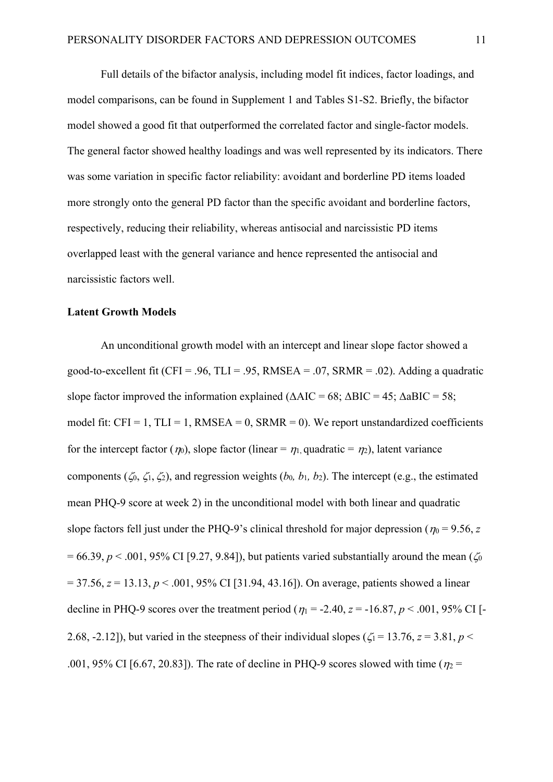Full details of the bifactor analysis, including model fit indices, factor loadings, and model comparisons, can be found in Supplement 1 and Tables S1-S2. Briefly, the bifactor model showed a good fit that outperformed the correlated factor and single-factor models. The general factor showed healthy loadings and was well represented by its indicators. There was some variation in specific factor reliability: avoidant and borderline PD items loaded more strongly onto the general PD factor than the specific avoidant and borderline factors, respectively, reducing their reliability, whereas antisocial and narcissistic PD items overlapped least with the general variance and hence represented the antisocial and narcissistic factors well.

# **Latent Growth Models**

An unconditional growth model with an intercept and linear slope factor showed a good-to-excellent fit (CFI = .96, TLI = .95, RMSEA = .07, SRMR = .02). Adding a quadratic slope factor improved the information explained ( $\triangle AIC = 68$ ;  $\triangle BIC = 45$ ;  $\triangle aBIC = 58$ ; model fit:  $CFI = 1$ ,  $TLI = 1$ ,  $RMSEA = 0$ ,  $SRMR = 0$ ). We report unstandardized coefficients for the intercept factor ( $n_0$ ), slope factor (linear =  $n_1$ , quadratic =  $n_2$ ), latent variance components ( $\zeta_0$ ,  $\zeta_1$ ,  $\zeta_2$ ), and regression weights (*b*<sub>0</sub>, *b*<sub>1</sub>, *b*<sub>2</sub>). The intercept (e.g., the estimated mean PHQ-9 score at week 2) in the unconditional model with both linear and quadratic slope factors fell just under the PHQ-9's clinical threshold for major depression ( $\eta_0$  = 9.56, *z*  $= 66.39$ ,  $p < .001$ , 95% CI [9.27, 9.84]), but patients varied substantially around the mean ( $\zeta_0$ ) = 37.56, *z* = 13.13, *p* < .001, 95% CI [31.94, 43.16]). On average, patients showed a linear decline in PHQ-9 scores over the treatment period ( $\eta_1 = -2.40$ ,  $z = -16.87$ ,  $p < .001$ , 95% CI [-2.68, -2.12]), but varied in the steepness of their individual slopes ( $\zeta_1$  = 13.76, *z* = 3.81, *p* < .001, 95% CI [6.67, 20.83]). The rate of decline in PHQ-9 scores slowed with time ( $n_2$  =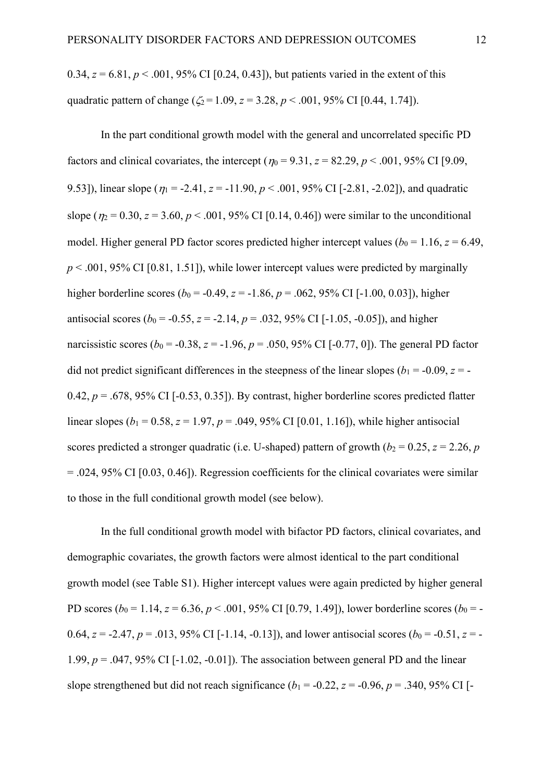0.34,  $z = 6.81$ ,  $p < .001$ , 95% CI [0.24, 0.43]), but patients varied in the extent of this quadratic pattern of change ( $\zeta_2 = 1.09$ ,  $z = 3.28$ ,  $p < .001$ , 95% CI [0.44, 1.74]).

In the part conditional growth model with the general and uncorrelated specific PD factors and clinical covariates, the intercept ( $\eta_0$  = 9.31,  $z$  = 82.29,  $p < .001$ , 95% CI [9.09, 9.53]), linear slope ( $\eta_1 = -2.41$ ,  $z = -11.90$ ,  $p < .001$ , 95% CI [-2.81, -2.02]), and quadratic slope ( $n_2 = 0.30$ ,  $z = 3.60$ ,  $p < .001$ , 95% CI [0.14, 0.46]) were similar to the unconditional model. Higher general PD factor scores predicted higher intercept values ( $b_0 = 1.16$ ,  $z = 6.49$ ,  $p < .001, 95\%$  CI [0.81, 1.51]), while lower intercept values were predicted by marginally higher borderline scores ( $b_0$  = -0.49,  $z$  = -1.86,  $p$  = .062, 95% CI [-1.00, 0.03]), higher antisocial scores ( $b_0$  = -0.55,  $z$  = -2.14,  $p$  = .032, 95% CI [-1.05, -0.05]), and higher narcissistic scores ( $b_0$  = -0.38, *z* = -1.96, *p* = .050, 95% CI [-0.77, 0]). The general PD factor did not predict significant differences in the steepness of the linear slopes ( $b_1 = -0.09$ ,  $z = -1$ 0.42,  $p = .678$ , 95% CI [ $-0.53$ , 0.35]). By contrast, higher borderline scores predicted flatter linear slopes ( $b_1 = 0.58$ ,  $z = 1.97$ ,  $p = .049$ , 95% CI [0.01, 1.16]), while higher antisocial scores predicted a stronger quadratic (i.e. U-shaped) pattern of growth  $(b_2 = 0.25, z = 2.26, p$  $= .024, 95\%$  CI [0.03, 0.46]). Regression coefficients for the clinical covariates were similar to those in the full conditional growth model (see below).

In the full conditional growth model with bifactor PD factors, clinical covariates, and demographic covariates, the growth factors were almost identical to the part conditional growth model (see Table S1). Higher intercept values were again predicted by higher general PD scores ( $b_0 = 1.14$ ,  $z = 6.36$ ,  $p < .001$ , 95% CI [0.79, 1.49]), lower borderline scores ( $b_0 = -$ 0.64,  $z = -2.47$ ,  $p = .013$ , 95% CI [-1.14, -0.13]), and lower antisocial scores ( $b_0 = -0.51$ ,  $z = -1.01$ 1.99, *p* = .047, 95% CI [-1.02, -0.01]). The association between general PD and the linear slope strengthened but did not reach significance  $(b_1 = -0.22, z = -0.96, p = .340, 95\% \text{ CI}$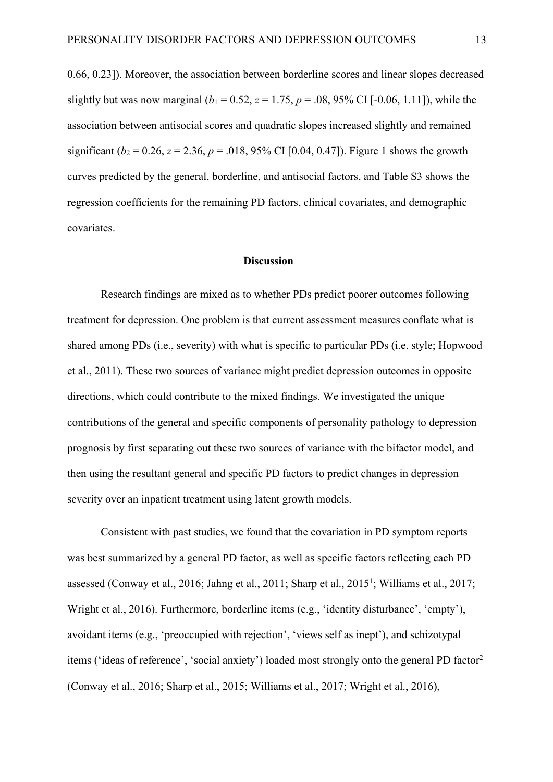0.66, 0.23]). Moreover, the association between borderline scores and linear slopes decreased slightly but was now marginal  $(b_1 = 0.52, z = 1.75, p = .08, 95\% \text{ CI}$  [-0.06, 1.11]), while the association between antisocial scores and quadratic slopes increased slightly and remained significant ( $b_2 = 0.26$ ,  $z = 2.36$ ,  $p = .018$ , 95% CI [0.04, 0.47]). Figure 1 shows the growth curves predicted by the general, borderline, and antisocial factors, and Table S3 shows the regression coefficients for the remaining PD factors, clinical covariates, and demographic covariates.

## **Discussion**

Research findings are mixed as to whether PDs predict poorer outcomes following treatment for depression. One problem is that current assessment measures conflate what is shared among PDs (i.e., severity) with what is specific to particular PDs (i.e. style; Hopwood et al., 2011). These two sources of variance might predict depression outcomes in opposite directions, which could contribute to the mixed findings. We investigated the unique contributions of the general and specific components of personality pathology to depression prognosis by first separating out these two sources of variance with the bifactor model, and then using the resultant general and specific PD factors to predict changes in depression severity over an inpatient treatment using latent growth models.

Consistent with past studies, we found that the covariation in PD symptom reports was best summarized by a general PD factor, as well as specific factors reflecting each PD assessed (Conway et al., 2016; Jahng et al., 2011; Sharp et al., 2015<sup>1</sup>; Williams et al., 2017; Wright et al., 2016). Furthermore, borderline items (e.g., 'identity disturbance', 'empty'), avoidant items (e.g., 'preoccupied with rejection', 'views self as inept'), and schizotypal items ('ideas of reference', 'social anxiety') loaded most strongly onto the general PD factor2 (Conway et al., 2016; Sharp et al., 2015; Williams et al., 2017; Wright et al., 2016),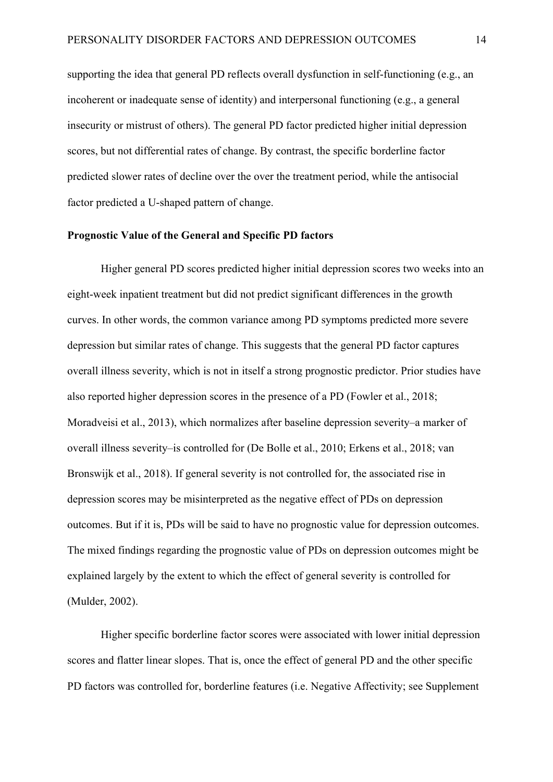supporting the idea that general PD reflects overall dysfunction in self-functioning (e.g., an incoherent or inadequate sense of identity) and interpersonal functioning (e.g., a general insecurity or mistrust of others). The general PD factor predicted higher initial depression scores, but not differential rates of change. By contrast, the specific borderline factor predicted slower rates of decline over the over the treatment period, while the antisocial factor predicted a U-shaped pattern of change.

#### **Prognostic Value of the General and Specific PD factors**

Higher general PD scores predicted higher initial depression scores two weeks into an eight-week inpatient treatment but did not predict significant differences in the growth curves. In other words, the common variance among PD symptoms predicted more severe depression but similar rates of change. This suggests that the general PD factor captures overall illness severity, which is not in itself a strong prognostic predictor. Prior studies have also reported higher depression scores in the presence of a PD (Fowler et al., 2018; Moradveisi et al., 2013), which normalizes after baseline depression severity–a marker of overall illness severity–is controlled for (De Bolle et al., 2010; Erkens et al., 2018; van Bronswijk et al., 2018). If general severity is not controlled for, the associated rise in depression scores may be misinterpreted as the negative effect of PDs on depression outcomes. But if it is, PDs will be said to have no prognostic value for depression outcomes. The mixed findings regarding the prognostic value of PDs on depression outcomes might be explained largely by the extent to which the effect of general severity is controlled for (Mulder, 2002).

Higher specific borderline factor scores were associated with lower initial depression scores and flatter linear slopes. That is, once the effect of general PD and the other specific PD factors was controlled for, borderline features (i.e. Negative Affectivity; see Supplement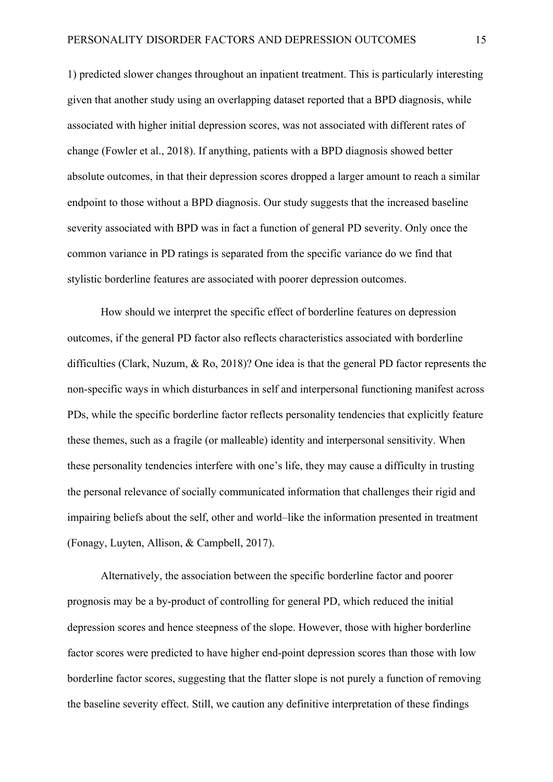1) predicted slower changes throughout an inpatient treatment. This is particularly interesting given that another study using an overlapping dataset reported that a BPD diagnosis, while associated with higher initial depression scores, was not associated with different rates of change (Fowler et al., 2018). If anything, patients with a BPD diagnosis showed better absolute outcomes, in that their depression scores dropped a larger amount to reach a similar endpoint to those without a BPD diagnosis. Our study suggests that the increased baseline severity associated with BPD was in fact a function of general PD severity. Only once the common variance in PD ratings is separated from the specific variance do we find that stylistic borderline features are associated with poorer depression outcomes.

How should we interpret the specific effect of borderline features on depression outcomes, if the general PD factor also reflects characteristics associated with borderline difficulties (Clark, Nuzum, & Ro, 2018)? One idea is that the general PD factor represents the non-specific ways in which disturbances in self and interpersonal functioning manifest across PDs, while the specific borderline factor reflects personality tendencies that explicitly feature these themes, such as a fragile (or malleable) identity and interpersonal sensitivity. When these personality tendencies interfere with one's life, they may cause a difficulty in trusting the personal relevance of socially communicated information that challenges their rigid and impairing beliefs about the self, other and world–like the information presented in treatment (Fonagy, Luyten, Allison, & Campbell, 2017).

Alternatively, the association between the specific borderline factor and poorer prognosis may be a by-product of controlling for general PD, which reduced the initial depression scores and hence steepness of the slope. However, those with higher borderline factor scores were predicted to have higher end-point depression scores than those with low borderline factor scores, suggesting that the flatter slope is not purely a function of removing the baseline severity effect. Still, we caution any definitive interpretation of these findings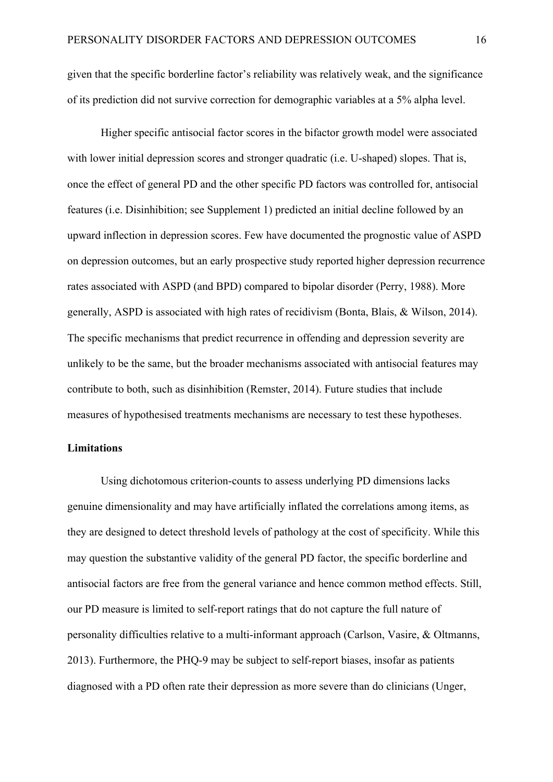given that the specific borderline factor's reliability was relatively weak, and the significance of its prediction did not survive correction for demographic variables at a 5% alpha level.

Higher specific antisocial factor scores in the bifactor growth model were associated with lower initial depression scores and stronger quadratic (*i.e.* U-shaped) slopes. That is, once the effect of general PD and the other specific PD factors was controlled for, antisocial features (i.e. Disinhibition; see Supplement 1) predicted an initial decline followed by an upward inflection in depression scores. Few have documented the prognostic value of ASPD on depression outcomes, but an early prospective study reported higher depression recurrence rates associated with ASPD (and BPD) compared to bipolar disorder (Perry, 1988). More generally, ASPD is associated with high rates of recidivism (Bonta, Blais, & Wilson, 2014). The specific mechanisms that predict recurrence in offending and depression severity are unlikely to be the same, but the broader mechanisms associated with antisocial features may contribute to both, such as disinhibition (Remster, 2014). Future studies that include measures of hypothesised treatments mechanisms are necessary to test these hypotheses.

## **Limitations**

Using dichotomous criterion-counts to assess underlying PD dimensions lacks genuine dimensionality and may have artificially inflated the correlations among items, as they are designed to detect threshold levels of pathology at the cost of specificity. While this may question the substantive validity of the general PD factor, the specific borderline and antisocial factors are free from the general variance and hence common method effects. Still, our PD measure is limited to self-report ratings that do not capture the full nature of personality difficulties relative to a multi-informant approach (Carlson, Vasire, & Oltmanns, 2013). Furthermore, the PHQ-9 may be subject to self-report biases, insofar as patients diagnosed with a PD often rate their depression as more severe than do clinicians (Unger,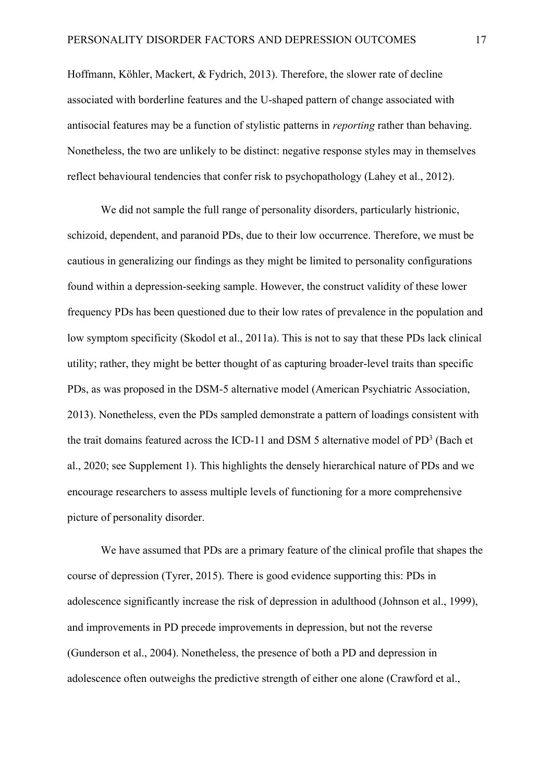Hoffmann, Köhler, Mackert, & Fydrich, 2013). Therefore, the slower rate of decline associated with borderline features and the U-shaped pattern of change associated with antisocial features may be a function of stylistic patterns in *reporting* rather than behaving. Nonetheless, the two are unlikely to be distinct: negative response styles may in themselves reflect behavioural tendencies that confer risk to psychopathology (Lahey et al., 2012).

We did not sample the full range of personality disorders, particularly histrionic, schizoid, dependent, and paranoid PDs, due to their low occurrence. Therefore, we must be cautious in generalizing our findings as they might be limited to personality configurations found within a depression-seeking sample. However, the construct validity of these lower frequency PDs has been questioned due to their low rates of prevalence in the population and low symptom specificity (Skodol et al., 2011a). This is not to say that these PDs lack clinical utility; rather, they might be better thought of as capturing broader-level traits than specific PDs, as was proposed in the DSM-5 alternative model (American Psychiatric Association, 2013). Nonetheless, even the PDs sampled demonstrate a pattern of loadings consistent with the trait domains featured across the ICD-11 and DSM 5 alternative model of PD3 (Bach et al., 2020; see Supplement 1). This highlights the densely hierarchical nature of PDs and we encourage researchers to assess multiple levels of functioning for a more comprehensive picture of personality disorder.

We have assumed that PDs are a primary feature of the clinical profile that shapes the course of depression (Tyrer, 2015). There is good evidence supporting this: PDs in adolescence significantly increase the risk of depression in adulthood (Johnson et al., 1999), and improvements in PD precede improvements in depression, but not the reverse (Gunderson et al., 2004). Nonetheless, the presence of both a PD and depression in adolescence often outweighs the predictive strength of either one alone (Crawford et al.,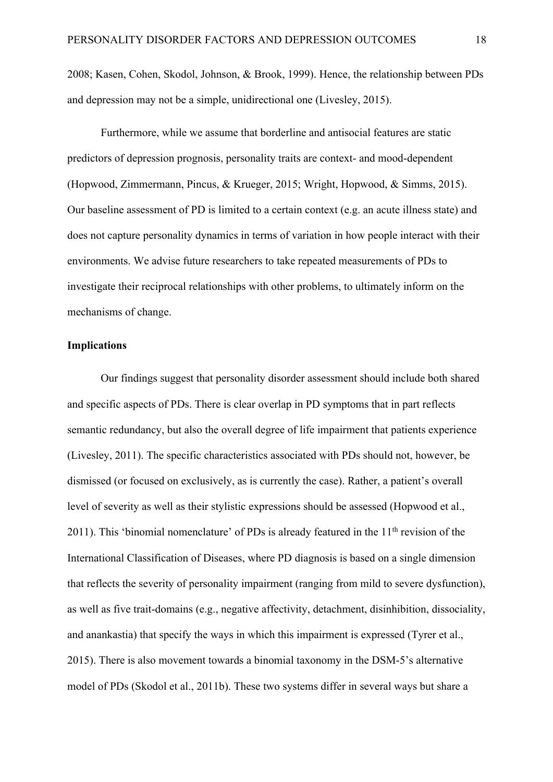2008; Kasen, Cohen, Skodol, Johnson, & Brook, 1999). Hence, the relationship between PDs and depression may not be a simple, unidirectional one (Livesley, 2015).

Furthermore, while we assume that borderline and antisocial features are static predictors of depression prognosis, personality traits are context- and mood-dependent (Hopwood, Zimmermann, Pincus, & Krueger, 2015; Wright, Hopwood, & Simms, 2015). Our baseline assessment of PD is limited to a certain context (e.g. an acute illness state) and does not capture personality dynamics in terms of variation in how people interact with their environments. We advise future researchers to take repeated measurements of PDs to investigate their reciprocal relationships with other problems, to ultimately inform on the mechanisms of change.

# **Implications**

Our findings suggest that personality disorder assessment should include both shared and specific aspects of PDs. There is clear overlap in PD symptoms that in part reflects semantic redundancy, but also the overall degree of life impairment that patients experience (Livesley, 2011). The specific characteristics associated with PDs should not, however, be dismissed (or focused on exclusively, as is currently the case). Rather, a patient's overall level of severity as well as their stylistic expressions should be assessed (Hopwood et al., 2011). This 'binomial nomenclature' of PDs is already featured in the  $11<sup>th</sup>$  revision of the International Classification of Diseases, where PD diagnosis is based on a single dimension that reflects the severity of personality impairment (ranging from mild to severe dysfunction), as well as five trait-domains (e.g., negative affectivity, detachment, disinhibition, dissociality, and anankastia) that specify the ways in which this impairment is expressed (Tyrer et al., 2015). There is also movement towards a binomial taxonomy in the DSM-5's alternative model of PDs (Skodol et al., 2011b). These two systems differ in several ways but share a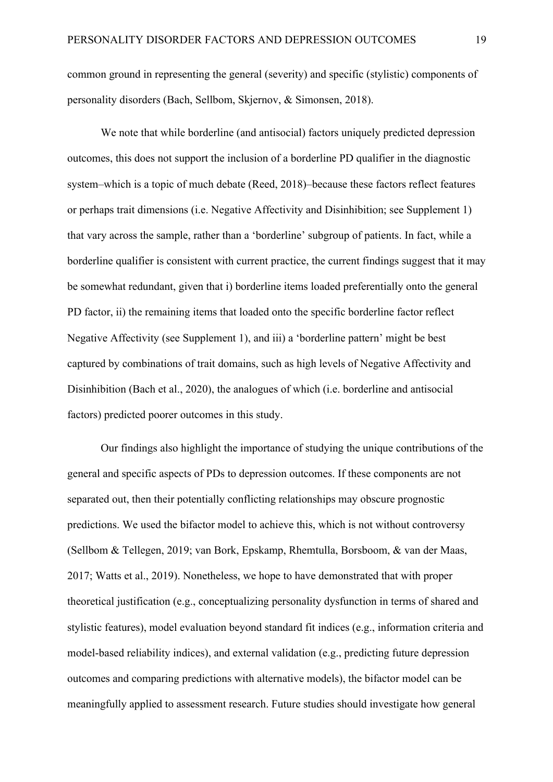common ground in representing the general (severity) and specific (stylistic) components of personality disorders (Bach, Sellbom, Skjernov, & Simonsen, 2018).

We note that while borderline (and antisocial) factors uniquely predicted depression outcomes, this does not support the inclusion of a borderline PD qualifier in the diagnostic system–which is a topic of much debate (Reed, 2018)–because these factors reflect features or perhaps trait dimensions (i.e. Negative Affectivity and Disinhibition; see Supplement 1) that vary across the sample, rather than a 'borderline' subgroup of patients. In fact, while a borderline qualifier is consistent with current practice, the current findings suggest that it may be somewhat redundant, given that i) borderline items loaded preferentially onto the general PD factor, ii) the remaining items that loaded onto the specific borderline factor reflect Negative Affectivity (see Supplement 1), and iii) a 'borderline pattern' might be best captured by combinations of trait domains, such as high levels of Negative Affectivity and Disinhibition (Bach et al., 2020), the analogues of which (i.e. borderline and antisocial factors) predicted poorer outcomes in this study.

Our findings also highlight the importance of studying the unique contributions of the general and specific aspects of PDs to depression outcomes. If these components are not separated out, then their potentially conflicting relationships may obscure prognostic predictions. We used the bifactor model to achieve this, which is not without controversy (Sellbom & Tellegen, 2019; van Bork, Epskamp, Rhemtulla, Borsboom, & van der Maas, 2017; Watts et al., 2019). Nonetheless, we hope to have demonstrated that with proper theoretical justification (e.g., conceptualizing personality dysfunction in terms of shared and stylistic features), model evaluation beyond standard fit indices (e.g., information criteria and model-based reliability indices), and external validation (e.g., predicting future depression outcomes and comparing predictions with alternative models), the bifactor model can be meaningfully applied to assessment research. Future studies should investigate how general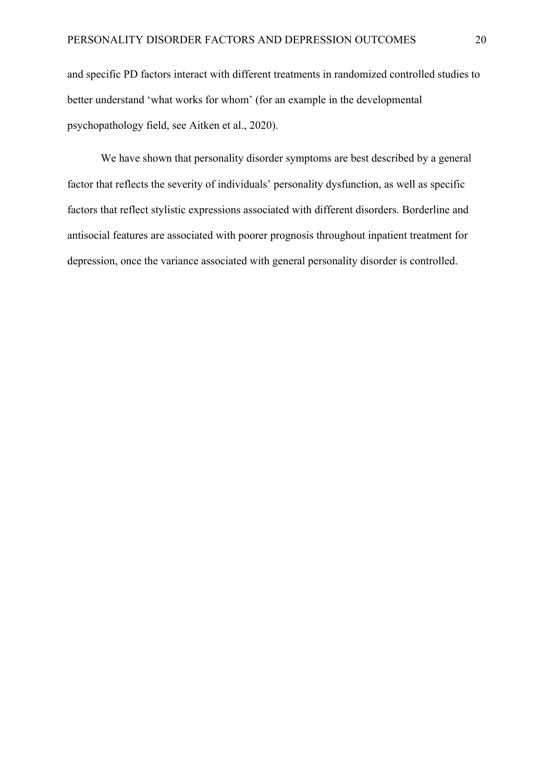and specific PD factors interact with different treatments in randomized controlled studies to better understand 'what works for whom' (for an example in the developmental psychopathology field, see Aitken et al., 2020).

We have shown that personality disorder symptoms are best described by a general factor that reflects the severity of individuals' personality dysfunction, as well as specific factors that reflect stylistic expressions associated with different disorders. Borderline and antisocial features are associated with poorer prognosis throughout inpatient treatment for depression, once the variance associated with general personality disorder is controlled.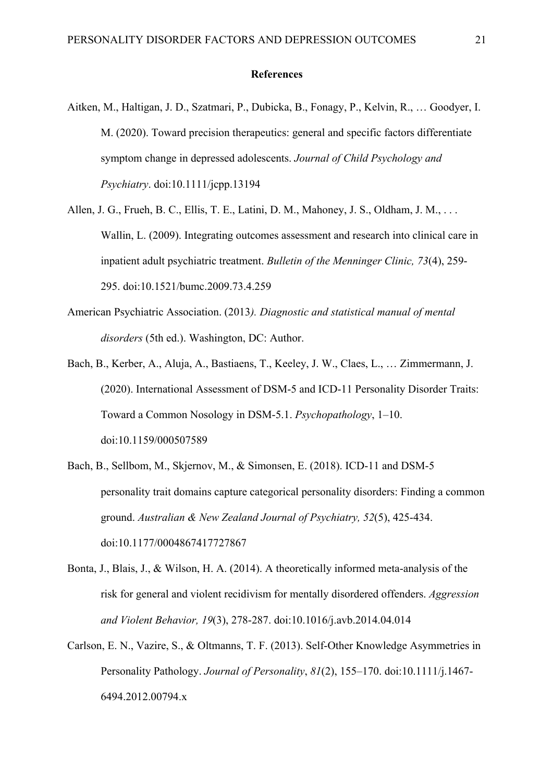#### **References**

- Aitken, M., Haltigan, J. D., Szatmari, P., Dubicka, B., Fonagy, P., Kelvin, R., … Goodyer, I. M. (2020). Toward precision therapeutics: general and specific factors differentiate symptom change in depressed adolescents. *Journal of Child Psychology and Psychiatry*. doi:10.1111/jcpp.13194
- Allen, J. G., Frueh, B. C., Ellis, T. E., Latini, D. M., Mahoney, J. S., Oldham, J. M., . . . Wallin, L. (2009). Integrating outcomes assessment and research into clinical care in inpatient adult psychiatric treatment. *Bulletin of the Menninger Clinic, 73*(4), 259- 295. doi:10.1521/bumc.2009.73.4.259
- American Psychiatric Association. (2013*). Diagnostic and statistical manual of mental disorders* (5th ed.). Washington, DC: Author.
- Bach, B., Kerber, A., Aluja, A., Bastiaens, T., Keeley, J. W., Claes, L., … Zimmermann, J. (2020). International Assessment of DSM-5 and ICD-11 Personality Disorder Traits: Toward a Common Nosology in DSM-5.1. *Psychopathology*, 1–10. doi:10.1159/000507589
- Bach, B., Sellbom, M., Skjernov, M., & Simonsen, E. (2018). ICD-11 and DSM-5 personality trait domains capture categorical personality disorders: Finding a common ground. *Australian & New Zealand Journal of Psychiatry, 52*(5), 425-434. doi:10.1177/0004867417727867
- Bonta, J., Blais, J., & Wilson, H. A. (2014). A theoretically informed meta-analysis of the risk for general and violent recidivism for mentally disordered offenders. *Aggression and Violent Behavior, 19*(3), 278-287. doi:10.1016/j.avb.2014.04.014
- Carlson, E. N., Vazire, S., & Oltmanns, T. F. (2013). Self-Other Knowledge Asymmetries in Personality Pathology. *Journal of Personality*, *81*(2), 155–170. doi:10.1111/j.1467- 6494.2012.00794.x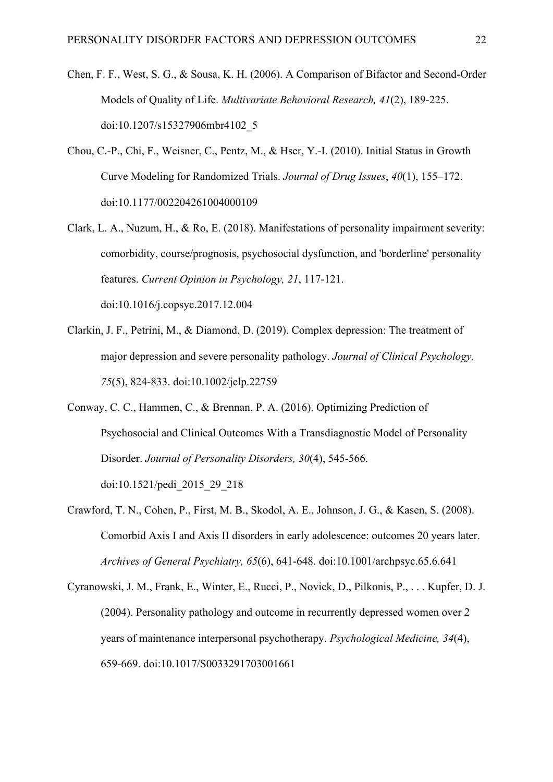- Chen, F. F., West, S. G., & Sousa, K. H. (2006). A Comparison of Bifactor and Second-Order Models of Quality of Life. *Multivariate Behavioral Research, 41*(2), 189-225. doi:10.1207/s15327906mbr4102\_5
- Chou, C.-P., Chi, F., Weisner, C., Pentz, M., & Hser, Y.-I. (2010). Initial Status in Growth Curve Modeling for Randomized Trials. *Journal of Drug Issues*, *40*(1), 155–172. doi:10.1177/002204261004000109
- Clark, L. A., Nuzum, H., & Ro, E. (2018). Manifestations of personality impairment severity: comorbidity, course/prognosis, psychosocial dysfunction, and 'borderline' personality features. *Current Opinion in Psychology, 21*, 117-121. doi:10.1016/j.copsyc.2017.12.004
- Clarkin, J. F., Petrini, M., & Diamond, D. (2019). Complex depression: The treatment of major depression and severe personality pathology. *Journal of Clinical Psychology, 75*(5), 824-833. doi:10.1002/jclp.22759
- Conway, C. C., Hammen, C., & Brennan, P. A. (2016). Optimizing Prediction of Psychosocial and Clinical Outcomes With a Transdiagnostic Model of Personality Disorder. *Journal of Personality Disorders, 30*(4), 545-566.
	- doi:10.1521/pedi\_2015\_29\_218
- Crawford, T. N., Cohen, P., First, M. B., Skodol, A. E., Johnson, J. G., & Kasen, S. (2008). Comorbid Axis I and Axis II disorders in early adolescence: outcomes 20 years later. *Archives of General Psychiatry, 65*(6), 641-648. doi:10.1001/archpsyc.65.6.641
- Cyranowski, J. M., Frank, E., Winter, E., Rucci, P., Novick, D., Pilkonis, P., . . . Kupfer, D. J. (2004). Personality pathology and outcome in recurrently depressed women over 2 years of maintenance interpersonal psychotherapy. *Psychological Medicine, 34*(4), 659-669. doi:10.1017/S0033291703001661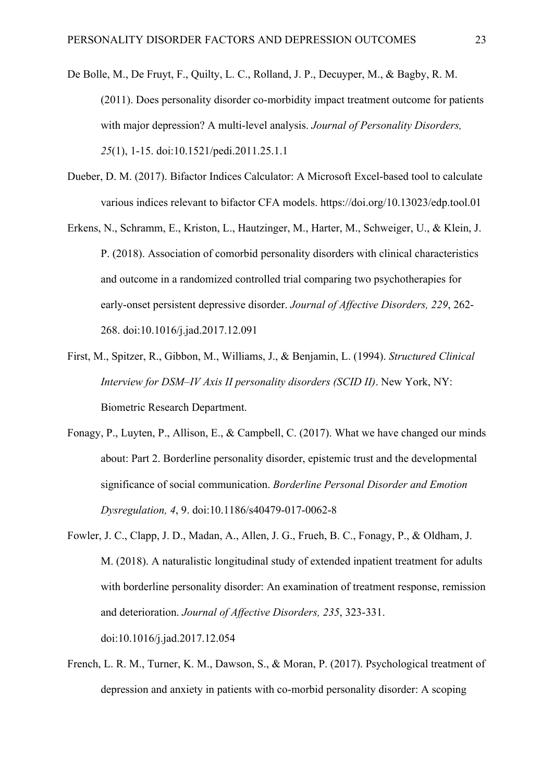- De Bolle, M., De Fruyt, F., Quilty, L. C., Rolland, J. P., Decuyper, M., & Bagby, R. M. (2011). Does personality disorder co-morbidity impact treatment outcome for patients with major depression? A multi-level analysis. *Journal of Personality Disorders, 25*(1), 1-15. doi:10.1521/pedi.2011.25.1.1
- Dueber, D. M. (2017). Bifactor Indices Calculator: A Microsoft Excel-based tool to calculate various indices relevant to bifactor CFA models. https://doi.org/10.13023/edp.tool.01
- Erkens, N., Schramm, E., Kriston, L., Hautzinger, M., Harter, M., Schweiger, U., & Klein, J. P. (2018). Association of comorbid personality disorders with clinical characteristics and outcome in a randomized controlled trial comparing two psychotherapies for early-onset persistent depressive disorder. *Journal of Affective Disorders, 229*, 262- 268. doi:10.1016/j.jad.2017.12.091
- First, M., Spitzer, R., Gibbon, M., Williams, J., & Benjamin, L. (1994). *Structured Clinical Interview for DSM–IV Axis II personality disorders (SCID II)*. New York, NY: Biometric Research Department.
- Fonagy, P., Luyten, P., Allison, E., & Campbell, C. (2017). What we have changed our minds about: Part 2. Borderline personality disorder, epistemic trust and the developmental significance of social communication. *Borderline Personal Disorder and Emotion Dysregulation, 4*, 9. doi:10.1186/s40479-017-0062-8
- Fowler, J. C., Clapp, J. D., Madan, A., Allen, J. G., Frueh, B. C., Fonagy, P., & Oldham, J. M. (2018). A naturalistic longitudinal study of extended inpatient treatment for adults with borderline personality disorder: An examination of treatment response, remission and deterioration. *Journal of Affective Disorders, 235*, 323-331. doi:10.1016/j.jad.2017.12.054
- French, L. R. M., Turner, K. M., Dawson, S., & Moran, P. (2017). Psychological treatment of depression and anxiety in patients with co-morbid personality disorder: A scoping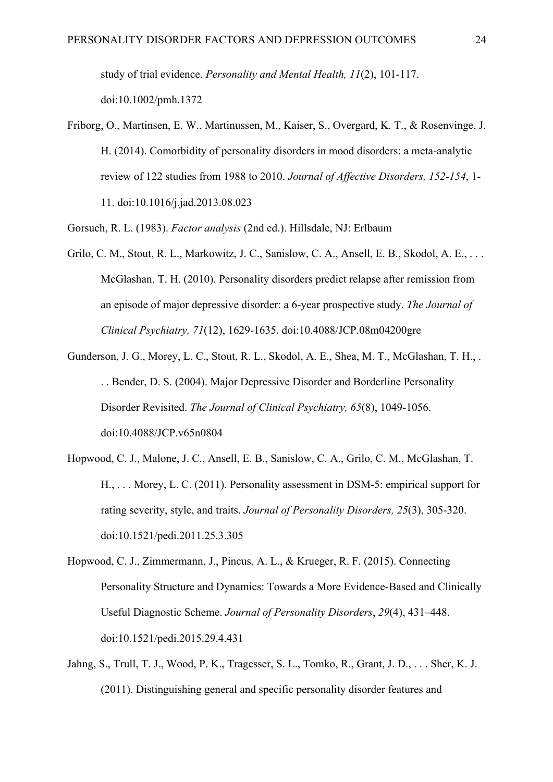study of trial evidence. *Personality and Mental Health, 11*(2), 101-117. doi:10.1002/pmh.1372

Friborg, O., Martinsen, E. W., Martinussen, M., Kaiser, S., Overgard, K. T., & Rosenvinge, J. H. (2014). Comorbidity of personality disorders in mood disorders: a meta-analytic review of 122 studies from 1988 to 2010. *Journal of Affective Disorders, 152-154*, 1- 11. doi:10.1016/j.jad.2013.08.023

Gorsuch, R. L. (1983). *Factor analysis* (2nd ed.). Hillsdale, NJ: Erlbaum

- Grilo, C. M., Stout, R. L., Markowitz, J. C., Sanislow, C. A., Ansell, E. B., Skodol, A. E., . . . McGlashan, T. H. (2010). Personality disorders predict relapse after remission from an episode of major depressive disorder: a 6-year prospective study. *The Journal of Clinical Psychiatry, 71*(12), 1629-1635. doi:10.4088/JCP.08m04200gre
- Gunderson, J. G., Morey, L. C., Stout, R. L., Skodol, A. E., Shea, M. T., McGlashan, T. H., . . . Bender, D. S. (2004). Major Depressive Disorder and Borderline Personality Disorder Revisited. *The Journal of Clinical Psychiatry, 65*(8), 1049-1056. doi:10.4088/JCP.v65n0804
- Hopwood, C. J., Malone, J. C., Ansell, E. B., Sanislow, C. A., Grilo, C. M., McGlashan, T. H., . . . Morey, L. C. (2011). Personality assessment in DSM-5: empirical support for rating severity, style, and traits. *Journal of Personality Disorders, 25*(3), 305-320. doi:10.1521/pedi.2011.25.3.305
- Hopwood, C. J., Zimmermann, J., Pincus, A. L., & Krueger, R. F. (2015). Connecting Personality Structure and Dynamics: Towards a More Evidence-Based and Clinically Useful Diagnostic Scheme. *Journal of Personality Disorders*, *29*(4), 431–448. doi:10.1521/pedi.2015.29.4.431
- Jahng, S., Trull, T. J., Wood, P. K., Tragesser, S. L., Tomko, R., Grant, J. D., . . . Sher, K. J. (2011). Distinguishing general and specific personality disorder features and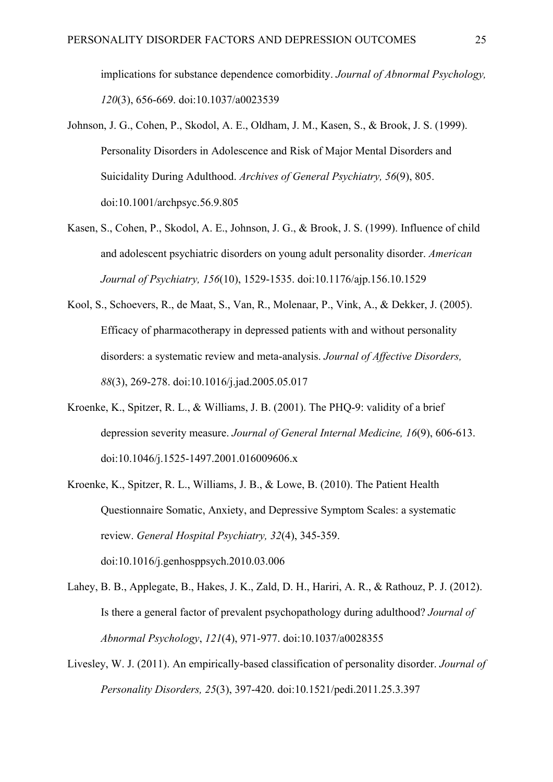implications for substance dependence comorbidity. *Journal of Abnormal Psychology, 120*(3), 656-669. doi:10.1037/a0023539

- Johnson, J. G., Cohen, P., Skodol, A. E., Oldham, J. M., Kasen, S., & Brook, J. S. (1999). Personality Disorders in Adolescence and Risk of Major Mental Disorders and Suicidality During Adulthood. *Archives of General Psychiatry, 56*(9), 805. doi:10.1001/archpsyc.56.9.805
- Kasen, S., Cohen, P., Skodol, A. E., Johnson, J. G., & Brook, J. S. (1999). Influence of child and adolescent psychiatric disorders on young adult personality disorder. *American Journal of Psychiatry, 156*(10), 1529-1535. doi:10.1176/ajp.156.10.1529
- Kool, S., Schoevers, R., de Maat, S., Van, R., Molenaar, P., Vink, A., & Dekker, J. (2005). Efficacy of pharmacotherapy in depressed patients with and without personality disorders: a systematic review and meta-analysis. *Journal of Affective Disorders, 88*(3), 269-278. doi:10.1016/j.jad.2005.05.017
- Kroenke, K., Spitzer, R. L., & Williams, J. B. (2001). The PHQ-9: validity of a brief depression severity measure. *Journal of General Internal Medicine, 16*(9), 606-613. doi:10.1046/j.1525-1497.2001.016009606.x
- Kroenke, K., Spitzer, R. L., Williams, J. B., & Lowe, B. (2010). The Patient Health Questionnaire Somatic, Anxiety, and Depressive Symptom Scales: a systematic review. *General Hospital Psychiatry, 32*(4), 345-359. doi:10.1016/j.genhosppsych.2010.03.006
- Lahey, B. B., Applegate, B., Hakes, J. K., Zald, D. H., Hariri, A. R., & Rathouz, P. J. (2012). Is there a general factor of prevalent psychopathology during adulthood? *Journal of Abnormal Psychology*, *121*(4), 971-977. doi:10.1037/a0028355
- Livesley, W. J. (2011). An empirically-based classification of personality disorder. *Journal of Personality Disorders, 25*(3), 397-420. doi:10.1521/pedi.2011.25.3.397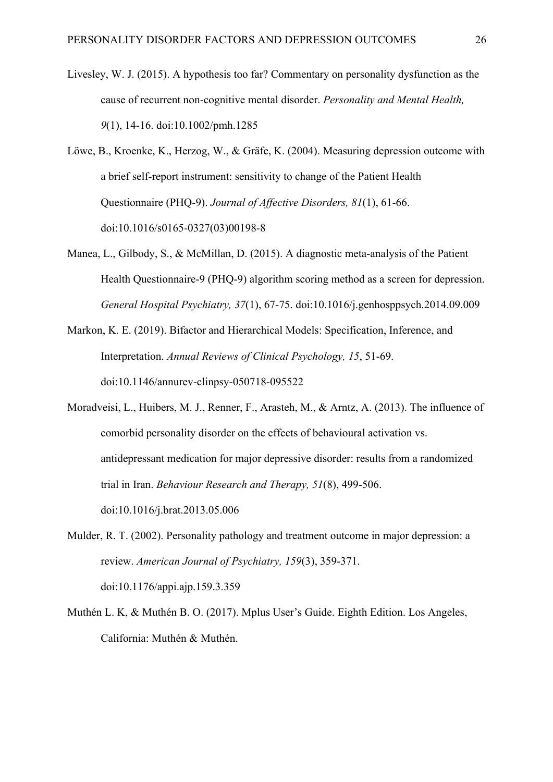- Livesley, W. J. (2015). A hypothesis too far? Commentary on personality dysfunction as the cause of recurrent non-cognitive mental disorder. *Personality and Mental Health, 9*(1), 14-16. doi:10.1002/pmh.1285
- Löwe, B., Kroenke, K., Herzog, W., & Gräfe, K. (2004). Measuring depression outcome with a brief self-report instrument: sensitivity to change of the Patient Health Questionnaire (PHQ-9). *Journal of Affective Disorders, 81*(1), 61-66. doi:10.1016/s0165-0327(03)00198-8
- Manea, L., Gilbody, S., & McMillan, D. (2015). A diagnostic meta-analysis of the Patient Health Questionnaire-9 (PHQ-9) algorithm scoring method as a screen for depression. *General Hospital Psychiatry, 37*(1), 67-75. doi:10.1016/j.genhosppsych.2014.09.009
- Markon, K. E. (2019). Bifactor and Hierarchical Models: Specification, Inference, and Interpretation. *Annual Reviews of Clinical Psychology, 15*, 51-69. doi:10.1146/annurev-clinpsy-050718-095522
- Moradveisi, L., Huibers, M. J., Renner, F., Arasteh, M., & Arntz, A. (2013). The influence of comorbid personality disorder on the effects of behavioural activation vs. antidepressant medication for major depressive disorder: results from a randomized trial in Iran. *Behaviour Research and Therapy, 51*(8), 499-506. doi:10.1016/j.brat.2013.05.006
- Mulder, R. T. (2002). Personality pathology and treatment outcome in major depression: a review. *American Journal of Psychiatry, 159*(3), 359-371. doi:10.1176/appi.ajp.159.3.359
- Muthén L. K, & Muthén B. O. (2017). Mplus User's Guide. Eighth Edition. Los Angeles, California: Muthén & Muthén.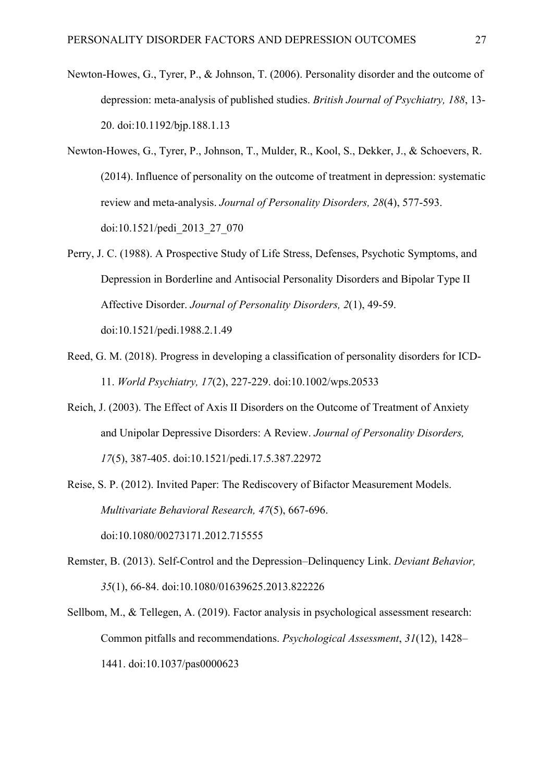- Newton-Howes, G., Tyrer, P., & Johnson, T. (2006). Personality disorder and the outcome of depression: meta-analysis of published studies. *British Journal of Psychiatry, 188*, 13- 20. doi:10.1192/bjp.188.1.13
- Newton-Howes, G., Tyrer, P., Johnson, T., Mulder, R., Kool, S., Dekker, J., & Schoevers, R. (2014). Influence of personality on the outcome of treatment in depression: systematic review and meta-analysis. *Journal of Personality Disorders, 28*(4), 577-593. doi:10.1521/pedi\_2013\_27\_070
- Perry, J. C. (1988). A Prospective Study of Life Stress, Defenses, Psychotic Symptoms, and Depression in Borderline and Antisocial Personality Disorders and Bipolar Type II Affective Disorder. *Journal of Personality Disorders, 2*(1), 49-59. doi:10.1521/pedi.1988.2.1.49
- Reed, G. M. (2018). Progress in developing a classification of personality disorders for ICD-11. *World Psychiatry, 17*(2), 227-229. doi:10.1002/wps.20533
- Reich, J. (2003). The Effect of Axis II Disorders on the Outcome of Treatment of Anxiety and Unipolar Depressive Disorders: A Review. *Journal of Personality Disorders, 17*(5), 387-405. doi:10.1521/pedi.17.5.387.22972
- Reise, S. P. (2012). Invited Paper: The Rediscovery of Bifactor Measurement Models. *Multivariate Behavioral Research, 47*(5), 667-696. doi:10.1080/00273171.2012.715555
- Remster, B. (2013). Self-Control and the Depression–Delinquency Link. *Deviant Behavior, 35*(1), 66-84. doi:10.1080/01639625.2013.822226
- Sellbom, M., & Tellegen, A. (2019). Factor analysis in psychological assessment research: Common pitfalls and recommendations. *Psychological Assessment*, *31*(12), 1428– 1441. doi:10.1037/pas0000623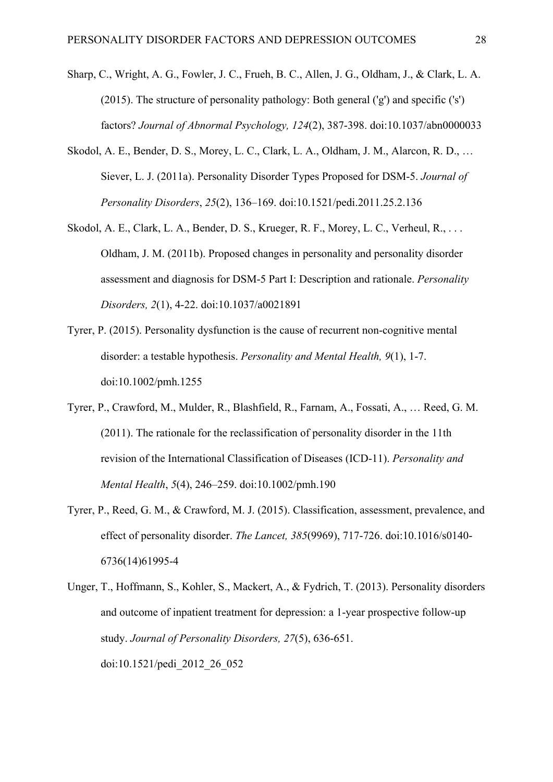- Sharp, C., Wright, A. G., Fowler, J. C., Frueh, B. C., Allen, J. G., Oldham, J., & Clark, L. A. (2015). The structure of personality pathology: Both general ('g') and specific ('s') factors? *Journal of Abnormal Psychology, 124*(2), 387-398. doi:10.1037/abn0000033
- Skodol, A. E., Bender, D. S., Morey, L. C., Clark, L. A., Oldham, J. M., Alarcon, R. D., … Siever, L. J. (2011a). Personality Disorder Types Proposed for DSM-5. *Journal of Personality Disorders*, *25*(2), 136–169. doi:10.1521/pedi.2011.25.2.136
- Skodol, A. E., Clark, L. A., Bender, D. S., Krueger, R. F., Morey, L. C., Verheul, R., ... Oldham, J. M. (2011b). Proposed changes in personality and personality disorder assessment and diagnosis for DSM-5 Part I: Description and rationale. *Personality Disorders, 2*(1), 4-22. doi:10.1037/a0021891
- Tyrer, P. (2015). Personality dysfunction is the cause of recurrent non-cognitive mental disorder: a testable hypothesis. *Personality and Mental Health, 9*(1), 1-7. doi:10.1002/pmh.1255
- Tyrer, P., Crawford, M., Mulder, R., Blashfield, R., Farnam, A., Fossati, A., … Reed, G. M. (2011). The rationale for the reclassification of personality disorder in the 11th revision of the International Classification of Diseases (ICD-11). *Personality and Mental Health*, *5*(4), 246–259. doi:10.1002/pmh.190
- Tyrer, P., Reed, G. M., & Crawford, M. J. (2015). Classification, assessment, prevalence, and effect of personality disorder. *The Lancet, 385*(9969), 717-726. doi:10.1016/s0140- 6736(14)61995-4
- Unger, T., Hoffmann, S., Kohler, S., Mackert, A., & Fydrich, T. (2013). Personality disorders and outcome of inpatient treatment for depression: a 1-year prospective follow-up study. *Journal of Personality Disorders, 27*(5), 636-651. doi:10.1521/pedi\_2012\_26\_052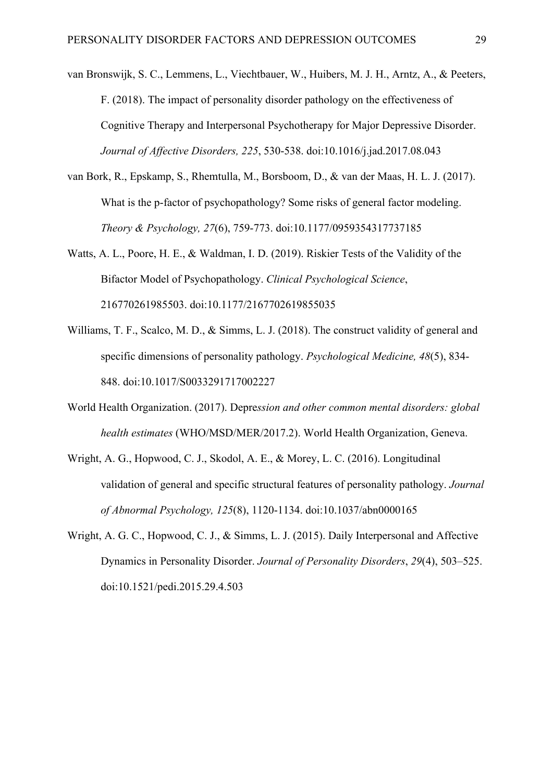van Bronswijk, S. C., Lemmens, L., Viechtbauer, W., Huibers, M. J. H., Arntz, A., & Peeters, F. (2018). The impact of personality disorder pathology on the effectiveness of Cognitive Therapy and Interpersonal Psychotherapy for Major Depressive Disorder. *Journal of Affective Disorders, 225*, 530-538. doi:10.1016/j.jad.2017.08.043

- van Bork, R., Epskamp, S., Rhemtulla, M., Borsboom, D., & van der Maas, H. L. J. (2017). What is the p-factor of psychopathology? Some risks of general factor modeling. *Theory & Psychology, 27*(6), 759-773. doi:10.1177/0959354317737185
- Watts, A. L., Poore, H. E., & Waldman, I. D. (2019). Riskier Tests of the Validity of the Bifactor Model of Psychopathology. *Clinical Psychological Science*, 216770261985503. doi:10.1177/2167702619855035
- Williams, T. F., Scalco, M. D., & Simms, L. J. (2018). The construct validity of general and specific dimensions of personality pathology. *Psychological Medicine, 48*(5), 834- 848. doi:10.1017/S0033291717002227
- World Health Organization. (2017). Depre*ssion and other common mental disorders: global health estimates* (WHO/MSD/MER/2017.2). World Health Organization, Geneva.
- Wright, A. G., Hopwood, C. J., Skodol, A. E., & Morey, L. C. (2016). Longitudinal validation of general and specific structural features of personality pathology. *Journal of Abnormal Psychology, 125*(8), 1120-1134. doi:10.1037/abn0000165
- Wright, A. G. C., Hopwood, C. J., & Simms, L. J. (2015). Daily Interpersonal and Affective Dynamics in Personality Disorder. *Journal of Personality Disorders*, *29*(4), 503–525. doi:10.1521/pedi.2015.29.4.503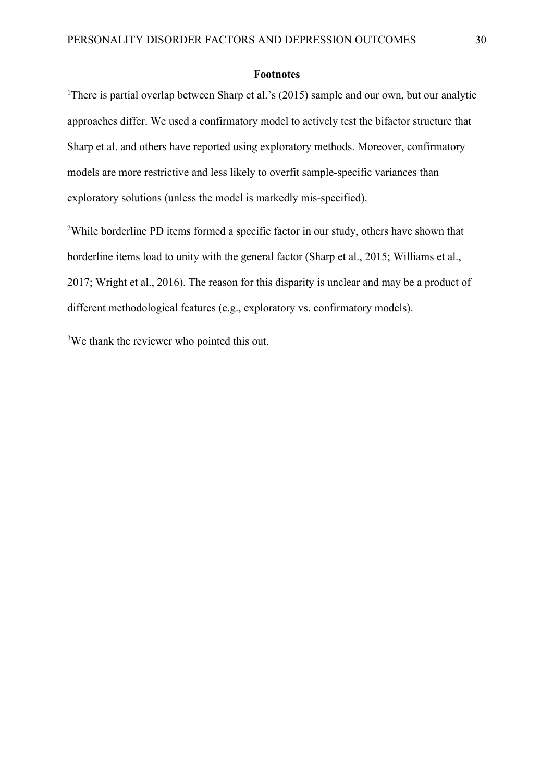## **Footnotes**

<sup>1</sup>There is partial overlap between Sharp et al.'s (2015) sample and our own, but our analytic approaches differ. We used a confirmatory model to actively test the bifactor structure that Sharp et al. and others have reported using exploratory methods. Moreover, confirmatory models are more restrictive and less likely to overfit sample-specific variances than exploratory solutions (unless the model is markedly mis-specified).

<sup>2</sup>While borderline PD items formed a specific factor in our study, others have shown that borderline items load to unity with the general factor (Sharp et al., 2015; Williams et al., 2017; Wright et al., 2016). The reason for this disparity is unclear and may be a product of different methodological features (e.g., exploratory vs. confirmatory models).

<sup>3</sup>We thank the reviewer who pointed this out.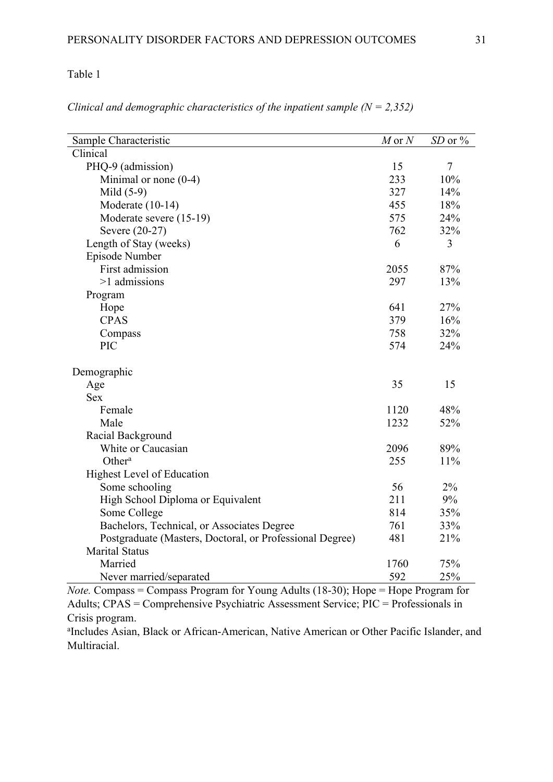# Table 1

| Sample Characteristic                                    | $M$ or $N$ | $SD$ or $\%$   |
|----------------------------------------------------------|------------|----------------|
| Clinical                                                 |            |                |
| PHQ-9 (admission)                                        | 15         | $\overline{7}$ |
| Minimal or none $(0-4)$                                  | 233        | 10%            |
| Mild $(5-9)$                                             | 327        | 14%            |
| Moderate (10-14)                                         | 455        | 18%            |
| Moderate severe (15-19)                                  | 575        | 24%            |
| Severe (20-27)                                           | 762        | 32%            |
| Length of Stay (weeks)                                   | 6          | 3              |
| Episode Number                                           |            |                |
| First admission                                          | 2055       | 87%            |
| $>1$ admissions                                          | 297        | 13%            |
| Program                                                  |            |                |
| Hope                                                     | 641        | 27%            |
| <b>CPAS</b>                                              | 379        | 16%            |
| Compass                                                  | 758        | 32%            |
| PIC                                                      | 574        | 24%            |
| Demographic                                              |            |                |
| Age                                                      | 35         | 15             |
| <b>Sex</b>                                               |            |                |
| Female                                                   | 1120       | 48%            |
| Male                                                     | 1232       | 52%            |
| Racial Background                                        |            |                |
| White or Caucasian                                       | 2096       | 89%            |
| Other <sup>a</sup>                                       | 255        | 11%            |
| <b>Highest Level of Education</b>                        |            |                |
| Some schooling                                           | 56         | 2%             |
| High School Diploma or Equivalent                        | 211        | 9%             |
| Some College                                             | 814        | 35%            |
| Bachelors, Technical, or Associates Degree               | 761        | 33%            |
| Postgraduate (Masters, Doctoral, or Professional Degree) | 481        | 21%            |
| <b>Marital Status</b>                                    |            |                |
| Married                                                  | 1760       | 75%            |
| Never married/separated                                  | 592        | 25%            |

*Clinical and demographic characteristics of the inpatient sample (N = 2,352)*

*Note.* Compass = Compass Program for Young Adults (18-30); Hope = Hope Program for Adults; CPAS = Comprehensive Psychiatric Assessment Service; PIC = Professionals in Crisis program.

a Includes Asian, Black or African-American, Native American or Other Pacific Islander, and Multiracial.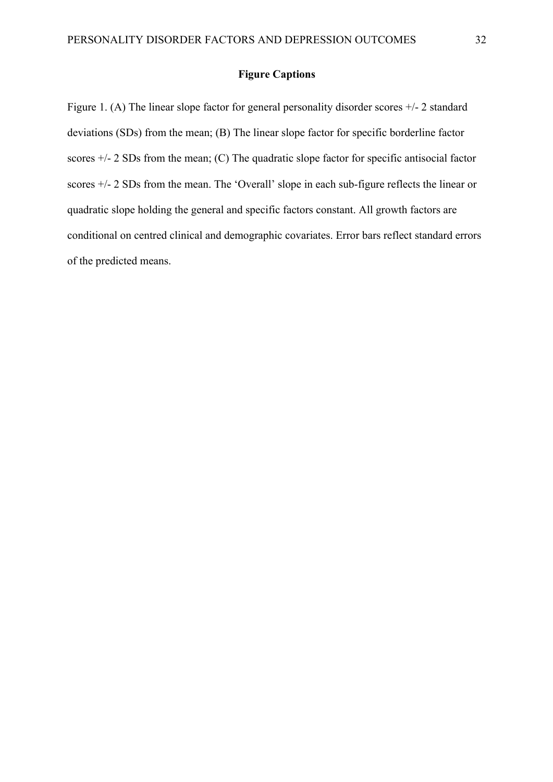# **Figure Captions**

Figure 1. (A) The linear slope factor for general personality disorder scores  $+/- 2$  standard deviations (SDs) from the mean; (B) The linear slope factor for specific borderline factor scores  $+/- 2$  SDs from the mean; (C) The quadratic slope factor for specific antisocial factor scores +/- 2 SDs from the mean. The 'Overall' slope in each sub-figure reflects the linear or quadratic slope holding the general and specific factors constant. All growth factors are conditional on centred clinical and demographic covariates. Error bars reflect standard errors of the predicted means.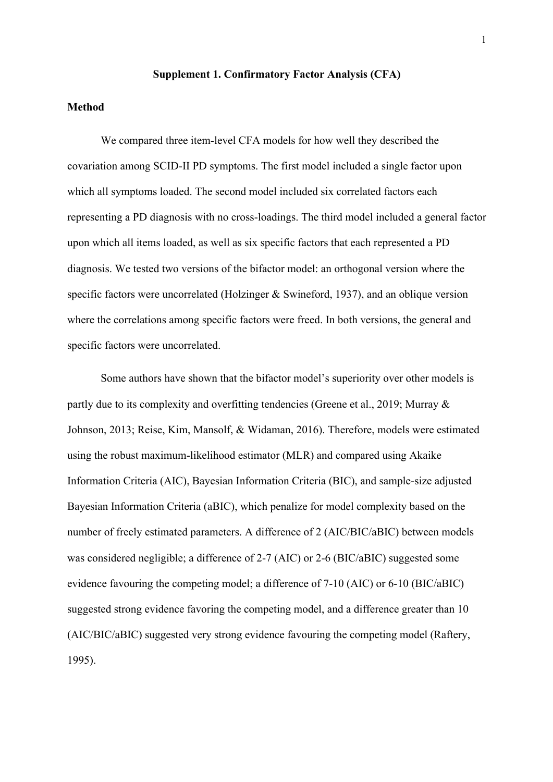#### **Supplement 1. Confirmatory Factor Analysis (CFA)**

## **Method**

We compared three item-level CFA models for how well they described the covariation among SCID-II PD symptoms. The first model included a single factor upon which all symptoms loaded. The second model included six correlated factors each representing a PD diagnosis with no cross-loadings. The third model included a general factor upon which all items loaded, as well as six specific factors that each represented a PD diagnosis. We tested two versions of the bifactor model: an orthogonal version where the specific factors were uncorrelated (Holzinger & Swineford, 1937), and an oblique version where the correlations among specific factors were freed. In both versions, the general and specific factors were uncorrelated.

Some authors have shown that the bifactor model's superiority over other models is partly due to its complexity and overfitting tendencies (Greene et al., 2019; Murray & Johnson, 2013; Reise, Kim, Mansolf, & Widaman, 2016). Therefore, models were estimated using the robust maximum-likelihood estimator (MLR) and compared using Akaike Information Criteria (AIC), Bayesian Information Criteria (BIC), and sample-size adjusted Bayesian Information Criteria (aBIC), which penalize for model complexity based on the number of freely estimated parameters. A difference of 2 (AIC/BIC/aBIC) between models was considered negligible; a difference of 2-7 (AIC) or 2-6 (BIC/aBIC) suggested some evidence favouring the competing model; a difference of 7-10 (AIC) or 6-10 (BIC/aBIC) suggested strong evidence favoring the competing model, and a difference greater than 10 (AIC/BIC/aBIC) suggested very strong evidence favouring the competing model (Raftery, 1995).

1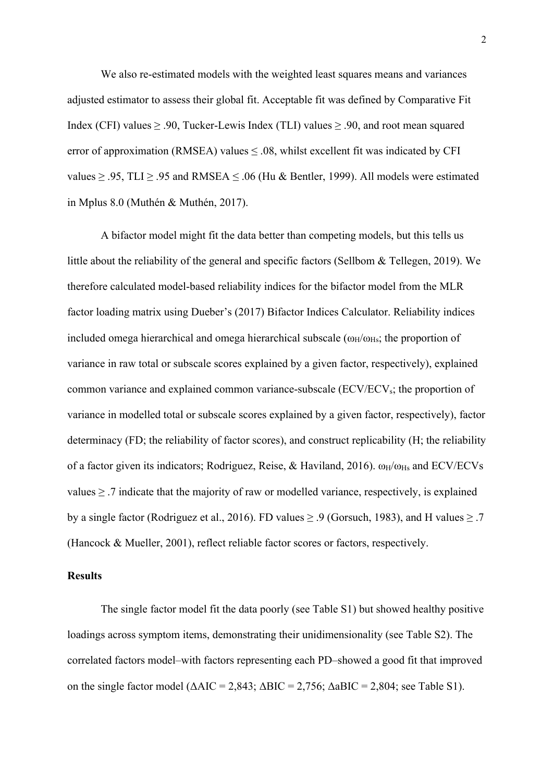We also re-estimated models with the weighted least squares means and variances adjusted estimator to assess their global fit. Acceptable fit was defined by Comparative Fit Index (CFI) values  $\geq 0.90$ , Tucker-Lewis Index (TLI) values  $\geq 0.90$ , and root mean squared error of approximation (RMSEA) values  $\leq$  0.08, whilst excellent fit was indicated by CFI values  $\ge$  .95, TLI  $\ge$  .95 and RMSEA  $\le$  .06 (Hu & Bentler, 1999). All models were estimated in Mplus 8.0 (Muthén & Muthén, 2017).

A bifactor model might fit the data better than competing models, but this tells us little about the reliability of the general and specific factors (Sellbom & Tellegen, 2019). We therefore calculated model-based reliability indices for the bifactor model from the MLR factor loading matrix using Dueber's (2017) Bifactor Indices Calculator. Reliability indices included omega hierarchical and omega hierarchical subscale ( $\omega_{\text{H}}/\omega_{\text{Hs}}$ ; the proportion of variance in raw total or subscale scores explained by a given factor, respectively), explained common variance and explained common variance-subscale (ECV/ECV<sub>s</sub>; the proportion of variance in modelled total or subscale scores explained by a given factor, respectively), factor determinacy (FD; the reliability of factor scores), and construct replicability (H; the reliability of a factor given its indicators; Rodriguez, Reise, & Haviland, 2016).  $\omega_H/\omega_H$  and ECV/ECVs values  $\geq$  .7 indicate that the majority of raw or modelled variance, respectively, is explained by a single factor (Rodriguez et al., 2016). FD values  $\geq .9$  (Gorsuch, 1983), and H values  $\geq .7$ (Hancock & Mueller, 2001), reflect reliable factor scores or factors, respectively.

#### **Results**

The single factor model fit the data poorly (see Table S1) but showed healthy positive loadings across symptom items, demonstrating their unidimensionality (see Table S2). The correlated factors model–with factors representing each PD–showed a good fit that improved on the single factor model ( $\triangle AIC = 2,843$ ;  $\triangle BIC = 2,756$ ;  $\triangle aBIC = 2,804$ ; see Table S1).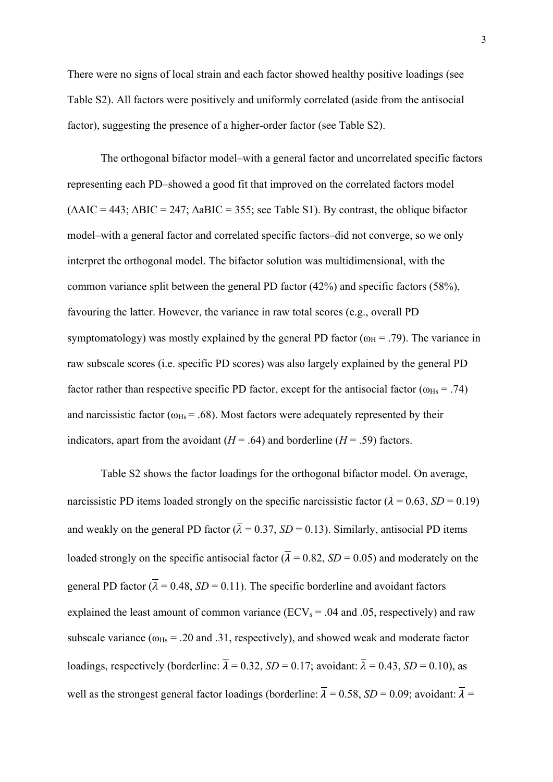There were no signs of local strain and each factor showed healthy positive loadings (see Table S2). All factors were positively and uniformly correlated (aside from the antisocial factor), suggesting the presence of a higher-order factor (see Table S2).

The orthogonal bifactor model–with a general factor and uncorrelated specific factors representing each PD–showed a good fit that improved on the correlated factors model  $(AAIC = 443; \triangle BIC = 247; \triangle ABC = 355;$  see Table S1). By contrast, the oblique bifactor model–with a general factor and correlated specific factors–did not converge, so we only interpret the orthogonal model. The bifactor solution was multidimensional, with the common variance split between the general PD factor (42%) and specific factors (58%), favouring the latter. However, the variance in raw total scores (e.g., overall PD symptomatology) was mostly explained by the general PD factor ( $\omega_H = .79$ ). The variance in raw subscale scores (i.e. specific PD scores) was also largely explained by the general PD factor rather than respective specific PD factor, except for the antisocial factor ( $\omega_{\text{Hs}} = .74$ ) and narcissistic factor ( $\omega_{\text{Hs}}$  = .68). Most factors were adequately represented by their indicators, apart from the avoidant  $(H = .64)$  and borderline  $(H = .59)$  factors.

Table S2 shows the factor loadings for the orthogonal bifactor model. On average, narcissistic PD items loaded strongly on the specific narcissistic factor  $(\overline{\lambda} = 0.63, SD = 0.19)$ and weakly on the general PD factor  $(\overline{\lambda} = 0.37, SD = 0.13)$ . Similarly, antisocial PD items loaded strongly on the specific antisocial factor  $(\overline{\lambda} = 0.82, SD = 0.05)$  and moderately on the general PD factor  $(\overline{\lambda} = 0.48, SD = 0.11)$ . The specific borderline and avoidant factors explained the least amount of common variance ( $ECV_s = .04$  and  $.05$ , respectively) and raw subscale variance ( $\omega_{\text{Hs}}$  = .20 and .31, respectively), and showed weak and moderate factor loadings, respectively (borderline:  $\overline{\lambda} = 0.32$ , *SD* = 0.17; avoidant:  $\overline{\lambda} = 0.43$ , *SD* = 0.10), as well as the strongest general factor loadings (borderline:  $\overline{\lambda} = 0.58$ , *SD* = 0.09; avoidant:  $\overline{\lambda} =$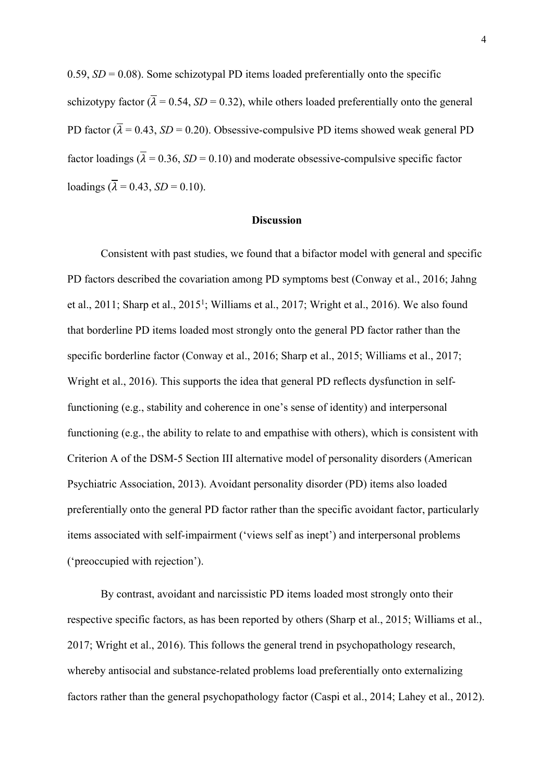0.59,  $SD = 0.08$ ). Some schizotypal PD items loaded preferentially onto the specific schizotypy factor  $(\overline{\lambda} = 0.54, SD = 0.32)$ , while others loaded preferentially onto the general PD factor  $(\overline{\lambda} = 0.43, SD = 0.20)$ . Obsessive-compulsive PD items showed weak general PD factor loadings ( $\overline{\lambda} = 0.36$ ,  $SD = 0.10$ ) and moderate obsessive-compulsive specific factor loadings  $(\overline{\lambda} = 0.43, SD = 0.10)$ .

#### **Discussion**

Consistent with past studies, we found that a bifactor model with general and specific PD factors described the covariation among PD symptoms best (Conway et al., 2016; Jahng et al., 2011; Sharp et al., 2015<sup>1</sup>; Williams et al., 2017; Wright et al., 2016). We also found that borderline PD items loaded most strongly onto the general PD factor rather than the specific borderline factor (Conway et al., 2016; Sharp et al., 2015; Williams et al., 2017; Wright et al., 2016). This supports the idea that general PD reflects dysfunction in selffunctioning (e.g., stability and coherence in one's sense of identity) and interpersonal functioning (e.g., the ability to relate to and empathise with others), which is consistent with Criterion A of the DSM-5 Section III alternative model of personality disorders (American Psychiatric Association, 2013). Avoidant personality disorder (PD) items also loaded preferentially onto the general PD factor rather than the specific avoidant factor, particularly items associated with self-impairment ('views self as inept') and interpersonal problems ('preoccupied with rejection').

By contrast, avoidant and narcissistic PD items loaded most strongly onto their respective specific factors, as has been reported by others (Sharp et al., 2015; Williams et al., 2017; Wright et al., 2016). This follows the general trend in psychopathology research, whereby antisocial and substance-related problems load preferentially onto externalizing factors rather than the general psychopathology factor (Caspi et al., 2014; Lahey et al., 2012).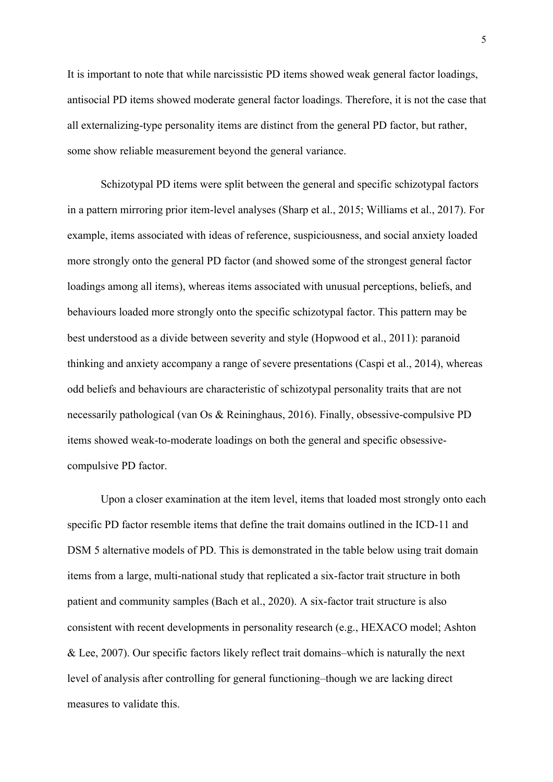It is important to note that while narcissistic PD items showed weak general factor loadings, antisocial PD items showed moderate general factor loadings. Therefore, it is not the case that all externalizing-type personality items are distinct from the general PD factor, but rather, some show reliable measurement beyond the general variance.

Schizotypal PD items were split between the general and specific schizotypal factors in a pattern mirroring prior item-level analyses (Sharp et al., 2015; Williams et al., 2017). For example, items associated with ideas of reference, suspiciousness, and social anxiety loaded more strongly onto the general PD factor (and showed some of the strongest general factor loadings among all items), whereas items associated with unusual perceptions, beliefs, and behaviours loaded more strongly onto the specific schizotypal factor. This pattern may be best understood as a divide between severity and style (Hopwood et al., 2011): paranoid thinking and anxiety accompany a range of severe presentations (Caspi et al., 2014), whereas odd beliefs and behaviours are characteristic of schizotypal personality traits that are not necessarily pathological (van Os & Reininghaus, 2016). Finally, obsessive-compulsive PD items showed weak-to-moderate loadings on both the general and specific obsessivecompulsive PD factor.

Upon a closer examination at the item level, items that loaded most strongly onto each specific PD factor resemble items that define the trait domains outlined in the ICD-11 and DSM 5 alternative models of PD. This is demonstrated in the table below using trait domain items from a large, multi-national study that replicated a six-factor trait structure in both patient and community samples (Bach et al., 2020). A six-factor trait structure is also consistent with recent developments in personality research (e.g., HEXACO model; Ashton & Lee, 2007). Our specific factors likely reflect trait domains–which is naturally the next level of analysis after controlling for general functioning–though we are lacking direct measures to validate this.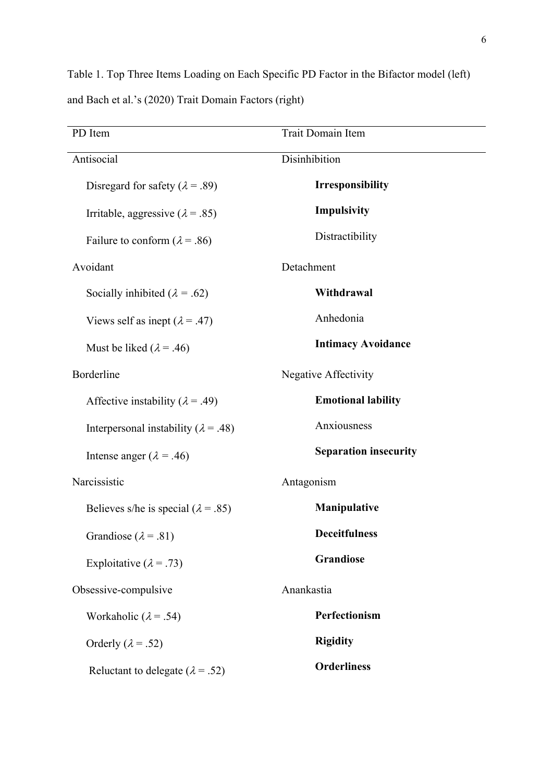PD Item Trait Domain Item Antisocial Disinhibition **Irresponsibility Impulsivity** Distractibility Disregard for safety ( $\lambda = .89$ ) Irritable, aggressive  $(\lambda = .85)$ Failure to conform ( $\lambda = .86$ ) Avoidant Detachment **Withdrawal**  Anhedonia **Intimacy Avoidance** Socially inhibited  $(\lambda = .62)$ Views self as inept  $(\lambda = .47)$ Must be liked ( $\lambda = .46$ ) Borderline Negative Affectivity **Emotional lability** Anxiousness **Separation insecurity** Affective instability ( $\lambda = .49$ ) Interpersonal instability ( $\lambda = .48$ ) Intense anger ( $\lambda = .46$ ) Narcissistic Antagonism **Manipulative Deceitfulness Grandiose** Believes s/he is special ( $\lambda = .85$ ) Grandiose ( $\lambda = .81$ ) Exploitative ( $\lambda = .73$ ) Obsessive-compulsive Anankastia **Perfectionism Rigidity Orderliness** Workaholic ( $\lambda = .54$ ) Orderly ( $\lambda = .52$ ) Reluctant to delegate ( $\lambda = .52$ )

Table 1. Top Three Items Loading on Each Specific PD Factor in the Bifactor model (left) and Bach et al.'s (2020) Trait Domain Factors (right)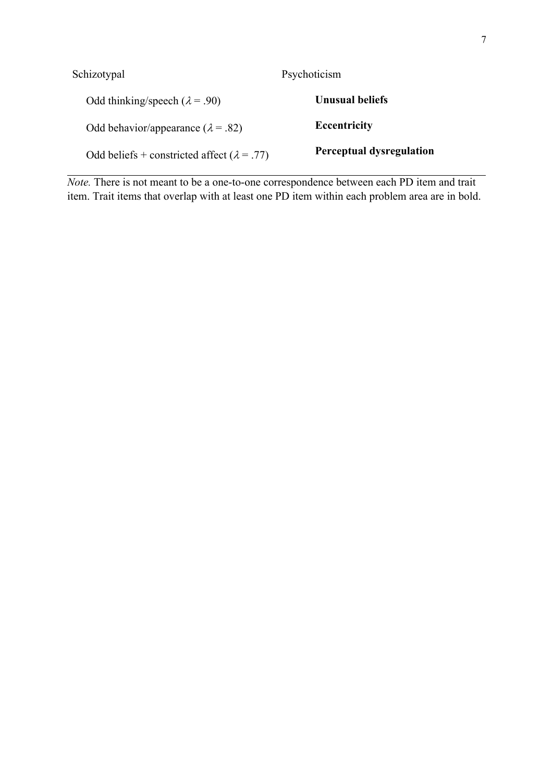| Schizotypal                                        | Psychoticism                    |
|----------------------------------------------------|---------------------------------|
| Odd thinking/speech ( $\lambda$ = .90)             | Unusual beliefs                 |
| Odd behavior/appearance ( $\lambda$ = .82)         | <b>Eccentricity</b>             |
| Odd beliefs + constricted affect $(\lambda = .77)$ | <b>Perceptual dysregulation</b> |

*Note.* There is not meant to be a one-to-one correspondence between each PD item and trait item. Trait items that overlap with at least one PD item within each problem area are in bold.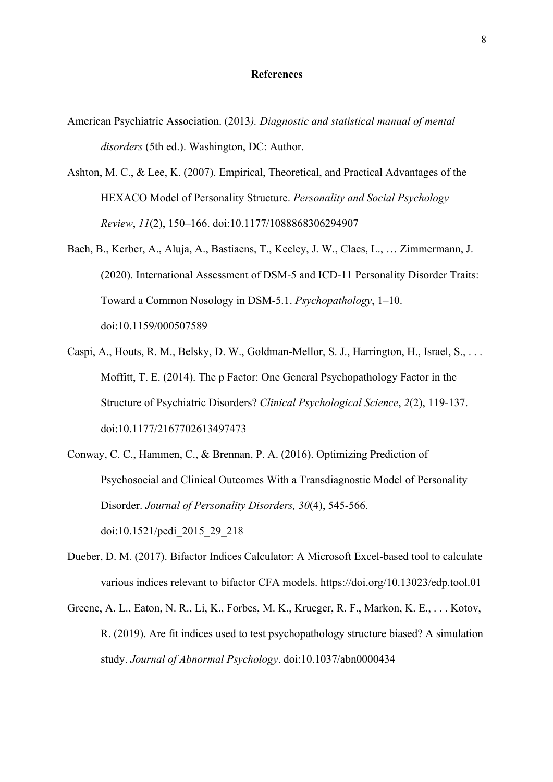### **References**

- American Psychiatric Association. (2013*). Diagnostic and statistical manual of mental disorders* (5th ed.). Washington, DC: Author.
- Ashton, M. C., & Lee, K. (2007). Empirical, Theoretical, and Practical Advantages of the HEXACO Model of Personality Structure. *Personality and Social Psychology Review*, *11*(2), 150–166. doi:10.1177/1088868306294907
- Bach, B., Kerber, A., Aluja, A., Bastiaens, T., Keeley, J. W., Claes, L., … Zimmermann, J. (2020). International Assessment of DSM-5 and ICD-11 Personality Disorder Traits: Toward a Common Nosology in DSM-5.1. *Psychopathology*, 1–10. doi:10.1159/000507589
- Caspi, A., Houts, R. M., Belsky, D. W., Goldman-Mellor, S. J., Harrington, H., Israel, S., . . . Moffitt, T. E. (2014). The p Factor: One General Psychopathology Factor in the Structure of Psychiatric Disorders? *Clinical Psychological Science*, *2*(2), 119-137. doi:10.1177/2167702613497473
- Conway, C. C., Hammen, C., & Brennan, P. A. (2016). Optimizing Prediction of Psychosocial and Clinical Outcomes With a Transdiagnostic Model of Personality Disorder. *Journal of Personality Disorders, 30*(4), 545-566. doi:10.1521/pedi\_2015\_29\_218
- Dueber, D. M. (2017). Bifactor Indices Calculator: A Microsoft Excel-based tool to calculate various indices relevant to bifactor CFA models. https://doi.org/10.13023/edp.tool.01
- Greene, A. L., Eaton, N. R., Li, K., Forbes, M. K., Krueger, R. F., Markon, K. E., . . . Kotov, R. (2019). Are fit indices used to test psychopathology structure biased? A simulation study. *Journal of Abnormal Psychology*. doi:10.1037/abn0000434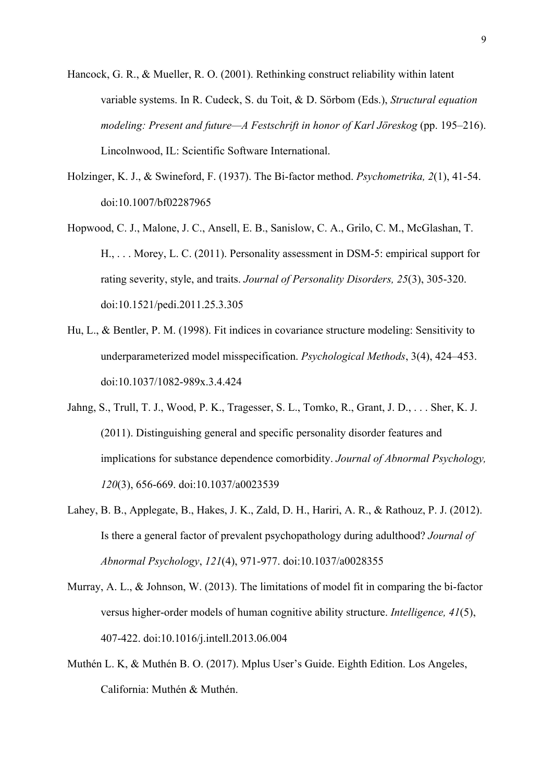- Hancock, G. R., & Mueller, R. O. (2001). Rethinking construct reliability within latent variable systems. In R. Cudeck, S. du Toit, & D. Sörbom (Eds.), *Structural equation modeling: Present and future—A Festschrift in honor of Karl Jöreskog* (pp. 195–216). Lincolnwood, IL: Scientific Software International.
- Holzinger, K. J., & Swineford, F. (1937). The Bi-factor method. *Psychometrika, 2*(1), 41-54. doi:10.1007/bf02287965
- Hopwood, C. J., Malone, J. C., Ansell, E. B., Sanislow, C. A., Grilo, C. M., McGlashan, T. H., . . . Morey, L. C. (2011). Personality assessment in DSM-5: empirical support for rating severity, style, and traits. *Journal of Personality Disorders, 25*(3), 305-320. doi:10.1521/pedi.2011.25.3.305
- Hu, L., & Bentler, P. M. (1998). Fit indices in covariance structure modeling: Sensitivity to underparameterized model misspecification. *Psychological Methods*, 3(4), 424–453. doi:10.1037/1082-989x.3.4.424
- Jahng, S., Trull, T. J., Wood, P. K., Tragesser, S. L., Tomko, R., Grant, J. D., . . . Sher, K. J. (2011). Distinguishing general and specific personality disorder features and implications for substance dependence comorbidity. *Journal of Abnormal Psychology, 120*(3), 656-669. doi:10.1037/a0023539
- Lahey, B. B., Applegate, B., Hakes, J. K., Zald, D. H., Hariri, A. R., & Rathouz, P. J. (2012). Is there a general factor of prevalent psychopathology during adulthood? *Journal of Abnormal Psychology*, *121*(4), 971-977. doi:10.1037/a0028355
- Murray, A. L., & Johnson, W. (2013). The limitations of model fit in comparing the bi-factor versus higher-order models of human cognitive ability structure. *Intelligence, 41*(5), 407-422. doi:10.1016/j.intell.2013.06.004
- Muthén L. K, & Muthén B. O. (2017). Mplus User's Guide. Eighth Edition. Los Angeles, California: Muthén & Muthén.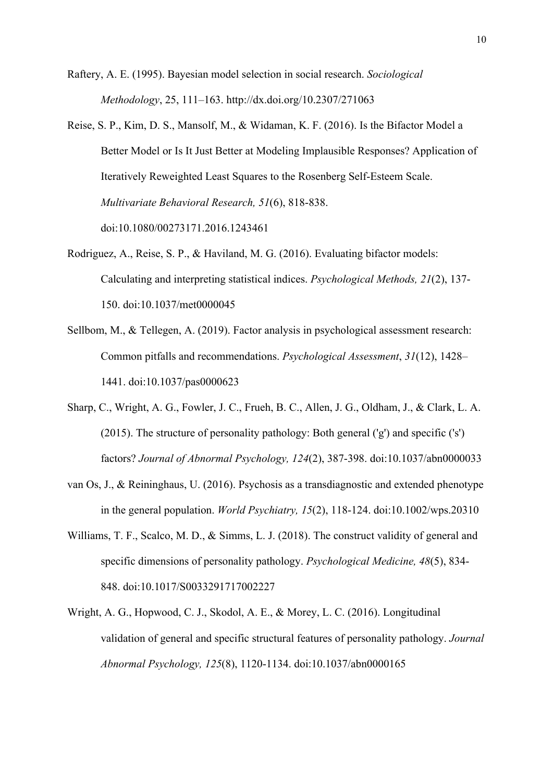Raftery, A. E. (1995). Bayesian model selection in social research. *Sociological Methodology*, 25, 111–163. http://dx.doi.org/10.2307/271063

- Reise, S. P., Kim, D. S., Mansolf, M., & Widaman, K. F. (2016). Is the Bifactor Model a Better Model or Is It Just Better at Modeling Implausible Responses? Application of Iteratively Reweighted Least Squares to the Rosenberg Self-Esteem Scale. *Multivariate Behavioral Research, 51*(6), 818-838. doi:10.1080/00273171.2016.1243461
- Rodriguez, A., Reise, S. P., & Haviland, M. G. (2016). Evaluating bifactor models: Calculating and interpreting statistical indices. *Psychological Methods, 21*(2), 137- 150. doi:10.1037/met0000045
- Sellbom, M., & Tellegen, A. (2019). Factor analysis in psychological assessment research: Common pitfalls and recommendations. *Psychological Assessment*, *31*(12), 1428– 1441. doi:10.1037/pas0000623
- Sharp, C., Wright, A. G., Fowler, J. C., Frueh, B. C., Allen, J. G., Oldham, J., & Clark, L. A. (2015). The structure of personality pathology: Both general ('g') and specific ('s') factors? *Journal of Abnormal Psychology, 124*(2), 387-398. doi:10.1037/abn0000033
- van Os, J., & Reininghaus, U. (2016). Psychosis as a transdiagnostic and extended phenotype in the general population. *World Psychiatry, 15*(2), 118-124. doi:10.1002/wps.20310
- Williams, T. F., Scalco, M. D., & Simms, L. J. (2018). The construct validity of general and specific dimensions of personality pathology. *Psychological Medicine, 48*(5), 834- 848. doi:10.1017/S0033291717002227
- Wright, A. G., Hopwood, C. J., Skodol, A. E., & Morey, L. C. (2016). Longitudinal validation of general and specific structural features of personality pathology. *Journal Abnormal Psychology, 125*(8), 1120-1134. doi:10.1037/abn0000165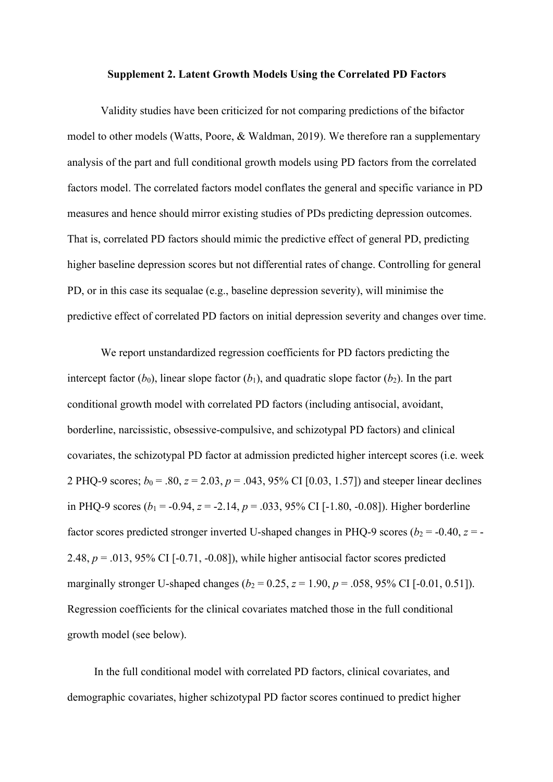#### **Supplement 2. Latent Growth Models Using the Correlated PD Factors**

Validity studies have been criticized for not comparing predictions of the bifactor model to other models (Watts, Poore, & Waldman, 2019). We therefore ran a supplementary analysis of the part and full conditional growth models using PD factors from the correlated factors model. The correlated factors model conflates the general and specific variance in PD measures and hence should mirror existing studies of PDs predicting depression outcomes. That is, correlated PD factors should mimic the predictive effect of general PD, predicting higher baseline depression scores but not differential rates of change. Controlling for general PD, or in this case its sequalae (e.g., baseline depression severity), will minimise the predictive effect of correlated PD factors on initial depression severity and changes over time.

We report unstandardized regression coefficients for PD factors predicting the intercept factor  $(b_0)$ , linear slope factor  $(b_1)$ , and quadratic slope factor  $(b_2)$ . In the part conditional growth model with correlated PD factors (including antisocial, avoidant, borderline, narcissistic, obsessive-compulsive, and schizotypal PD factors) and clinical covariates, the schizotypal PD factor at admission predicted higher intercept scores (i.e. week 2 PHQ-9 scores;  $b_0 = .80$ ,  $z = 2.03$ ,  $p = .043$ , 95% CI [0.03, 1.57]) and steeper linear declines in PHQ-9 scores ( $b_1 = -0.94$ ,  $z = -2.14$ ,  $p = .033$ , 95% CI [-1.80, -0.08]). Higher borderline factor scores predicted stronger inverted U-shaped changes in PHQ-9 scores ( $b_2$  = -0.40,  $z$  = -2.48,  $p = .013$ , 95% CI [ $-0.71$ ,  $-0.08$ ]), while higher antisocial factor scores predicted marginally stronger U-shaped changes ( $b_2 = 0.25$ ,  $z = 1.90$ ,  $p = .058$ , 95% CI [-0.01, 0.51]). Regression coefficients for the clinical covariates matched those in the full conditional growth model (see below).

In the full conditional model with correlated PD factors, clinical covariates, and demographic covariates, higher schizotypal PD factor scores continued to predict higher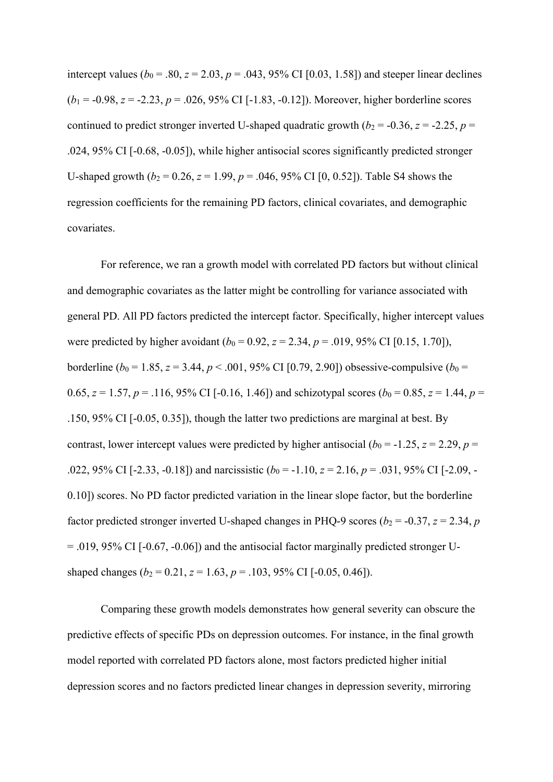intercept values ( $b_0 = .80$ ,  $z = 2.03$ ,  $p = .043$ , 95% CI [0.03, 1.58]) and steeper linear declines  $(b_1 = -0.98, z = -2.23, p = .026, 95\% \text{ CI}$  [-1.83, -0.12]). Moreover, higher borderline scores continued to predict stronger inverted U-shaped quadratic growth  $(b_2 = -0.36, z = -2.25, p =$ .024, 95% CI [-0.68, -0.05]), while higher antisocial scores significantly predicted stronger U-shaped growth  $(b_2 = 0.26, z = 1.99, p = .046, 95\% \text{ CI} [0, 0.52])$ . Table S4 shows the regression coefficients for the remaining PD factors, clinical covariates, and demographic covariates.

For reference, we ran a growth model with correlated PD factors but without clinical and demographic covariates as the latter might be controlling for variance associated with general PD. All PD factors predicted the intercept factor. Specifically, higher intercept values were predicted by higher avoidant  $(b_0 = 0.92, z = 2.34, p = .019, 95\% \text{ CI} [0.15, 1.70]),$ borderline ( $b_0 = 1.85$ ,  $z = 3.44$ ,  $p < .001$ , 95% CI [0.79, 2.90]) obsessive-compulsive ( $b_0 =$ 0.65,  $z = 1.57$ ,  $p = .116$ , 95% CI [-0.16, 1.46]) and schizotypal scores ( $b_0 = 0.85$ ,  $z = 1.44$ ,  $p =$ .150, 95% CI [-0.05, 0.35]), though the latter two predictions are marginal at best. By contrast, lower intercept values were predicted by higher antisocial ( $b_0 = -1.25$ ,  $z = 2.29$ ,  $p =$ .022, 95% CI [-2.33, -0.18]) and narcissistic ( $b_0 = -1.10$ ,  $z = 2.16$ ,  $p = .031$ , 95% CI [-2.09, -0.10]) scores. No PD factor predicted variation in the linear slope factor, but the borderline factor predicted stronger inverted U-shaped changes in PHQ-9 scores ( $b_2$  = -0.37,  $z$  = 2.34,  $p$ = .019, 95% CI [-0.67, -0.06]) and the antisocial factor marginally predicted stronger Ushaped changes ( $b_2$  = 0.21,  $z$  = 1.63,  $p$  = .103, 95% CI [-0.05, 0.46]).

Comparing these growth models demonstrates how general severity can obscure the predictive effects of specific PDs on depression outcomes. For instance, in the final growth model reported with correlated PD factors alone, most factors predicted higher initial depression scores and no factors predicted linear changes in depression severity, mirroring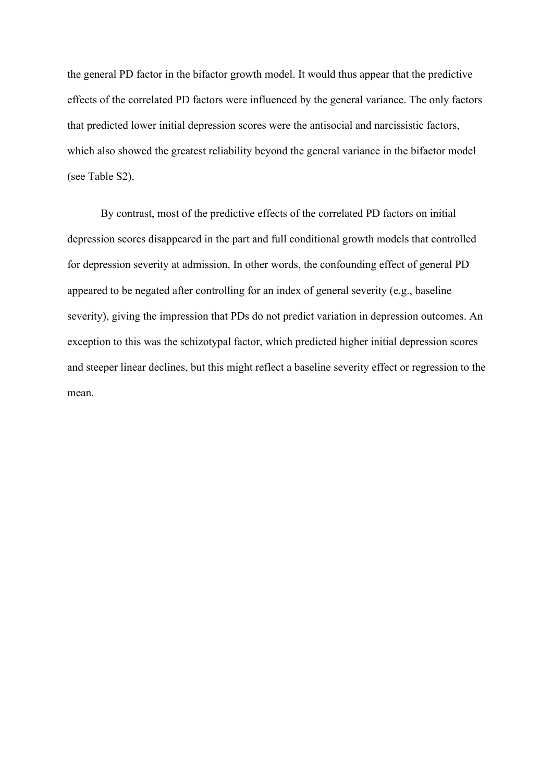the general PD factor in the bifactor growth model. It would thus appear that the predictive effects of the correlated PD factors were influenced by the general variance. The only factors that predicted lower initial depression scores were the antisocial and narcissistic factors, which also showed the greatest reliability beyond the general variance in the bifactor model (see Table S2).

By contrast, most of the predictive effects of the correlated PD factors on initial depression scores disappeared in the part and full conditional growth models that controlled for depression severity at admission. In other words, the confounding effect of general PD appeared to be negated after controlling for an index of general severity (e.g., baseline severity), giving the impression that PDs do not predict variation in depression outcomes. An exception to this was the schizotypal factor, which predicted higher initial depression scores and steeper linear declines, but this might reflect a baseline severity effect or regression to the mean.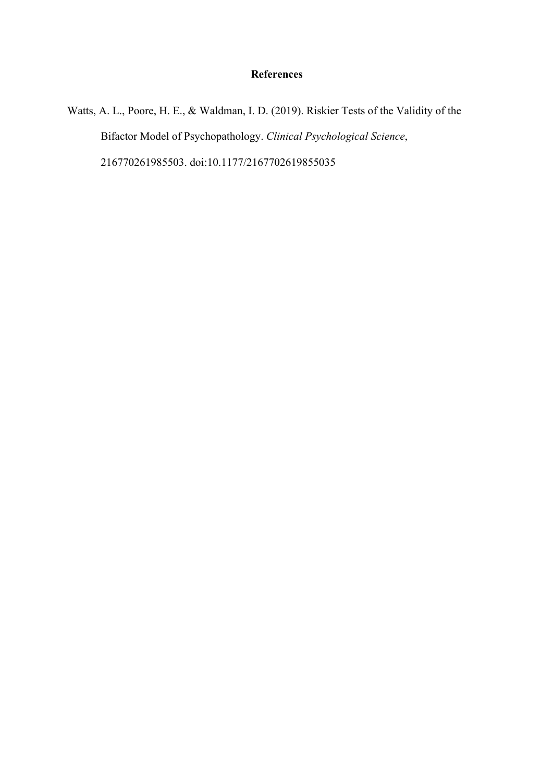# **References**

Watts, A. L., Poore, H. E., & Waldman, I. D. (2019). Riskier Tests of the Validity of the Bifactor Model of Psychopathology. *Clinical Psychological Science*, 216770261985503. doi:10.1177/2167702619855035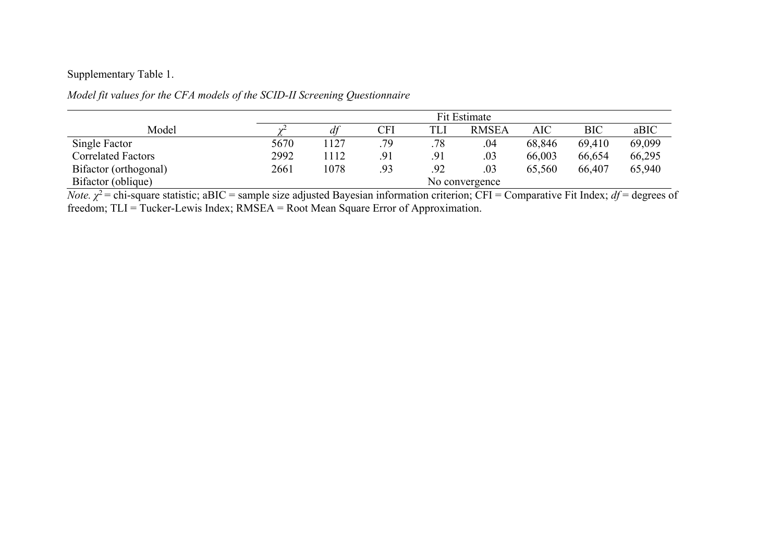Supplementary Table 1.

*Model fit values for the CFA models of the SCID-II Screening Questionnaire*

|                           |      | Fit Estimate |            |     |                |        |            |        |
|---------------------------|------|--------------|------------|-----|----------------|--------|------------|--------|
| Model                     |      |              | <b>CFI</b> | TLI | <b>RMSEA</b>   | AIC    | <b>BIC</b> | aBIC   |
| Single Factor             | 5670 | 1127         | .79        | .78 | .04            | 68,846 | 69,410     | 69,099 |
| <b>Correlated Factors</b> | 2992 | 1112         | .91        | .91 | .03            | 66,003 | 66,654     | 66,295 |
| Bifactor (orthogonal)     | 2661 | 1078         | .93        | .92 | .03            | 65,560 | 66,407     | 65,940 |
| Bifactor (oblique)        |      |              |            |     | No convergence |        |            |        |

*Note.*  $\chi^2$  = chi-square statistic; aBIC = sample size adjusted Bayesian information criterion; CFI = Comparative Fit Index; *df* = degrees of freedom; TLI = Tucker-Lewis Index; RMSEA = Root Mean Square Error of Approximation.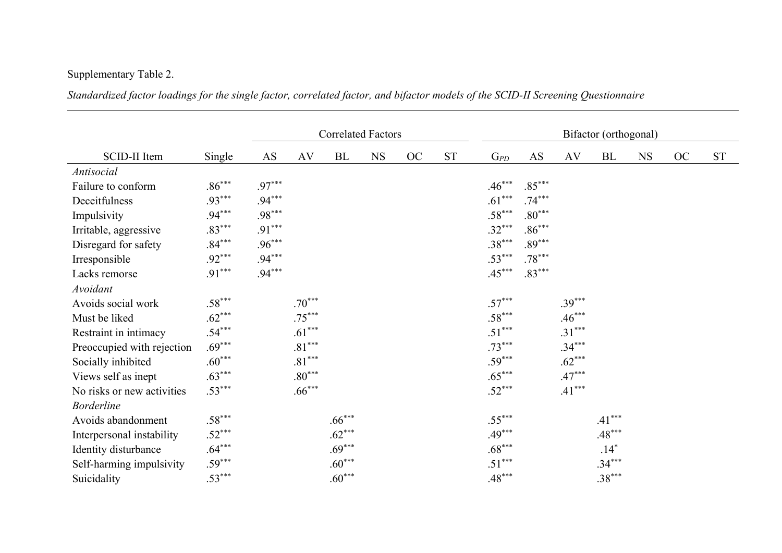# Supplementary Table 2.

*Standardized factor loadings for the single factor, correlated factor, and bifactor models of the SCID-II Screening Questionnaire*

|                            |          |          |          |          | <b>Correlated Factors</b> |    |                    |          |          |          | Bifactor (orthogonal) |             |    |           |
|----------------------------|----------|----------|----------|----------|---------------------------|----|--------------------|----------|----------|----------|-----------------------|-------------|----|-----------|
| SCID-II Item               | Single   | AS       | AV       | BL       | <b>NS</b>                 | OC | ${\cal S}{\cal T}$ | $G_{PD}$ | AS       | AV       | BL                    | $_{\rm NS}$ | OC | <b>ST</b> |
| Antisocial                 |          |          |          |          |                           |    |                    |          |          |          |                       |             |    |           |
| Failure to conform         | $.86***$ | $.97***$ |          |          |                           |    |                    | $.46***$ | $.85***$ |          |                       |             |    |           |
| Deceitfulness              | $.93***$ | $.94***$ |          |          |                           |    |                    | $.61***$ | $.74***$ |          |                       |             |    |           |
| Impulsivity                | $.94***$ | $.98***$ |          |          |                           |    |                    | $.58***$ | $.80***$ |          |                       |             |    |           |
| Irritable, aggressive      | $.83***$ | $.91***$ |          |          |                           |    |                    | $.32***$ | $.86***$ |          |                       |             |    |           |
| Disregard for safety       | $.84***$ | .96***   |          |          |                           |    |                    | $.38***$ | $.89***$ |          |                       |             |    |           |
| Irresponsible              | $.92***$ | $.94***$ |          |          |                           |    |                    | $.53***$ | $.78***$ |          |                       |             |    |           |
| Lacks remorse              | $.91***$ | $.94***$ |          |          |                           |    |                    | $.45***$ | $.83***$ |          |                       |             |    |           |
| Avoidant                   |          |          |          |          |                           |    |                    |          |          |          |                       |             |    |           |
| Avoids social work         | $.58***$ |          | $.70***$ |          |                           |    |                    | $.57***$ |          | $.39***$ |                       |             |    |           |
| Must be liked              | $.62***$ |          | $.75***$ |          |                           |    |                    | $.58***$ |          | $.46***$ |                       |             |    |           |
| Restraint in intimacy      | $.54***$ |          | $.61***$ |          |                           |    |                    | $.51***$ |          | $.31***$ |                       |             |    |           |
| Preoccupied with rejection | $.69***$ |          | $.81***$ |          |                           |    |                    | $.73***$ |          | $.34***$ |                       |             |    |           |
| Socially inhibited         | $.60***$ |          | $.81***$ |          |                           |    |                    | $.59***$ |          | $.62***$ |                       |             |    |           |
| Views self as inept        | $.63***$ |          | $.80***$ |          |                           |    |                    | $.65***$ |          | $.47***$ |                       |             |    |           |
| No risks or new activities | $.53***$ |          | $.66***$ |          |                           |    |                    | $.52***$ |          | $.41***$ |                       |             |    |           |
| <b>Borderline</b>          |          |          |          |          |                           |    |                    |          |          |          |                       |             |    |           |
| Avoids abandonment         | $.58***$ |          |          | $.66***$ |                           |    |                    | $.55***$ |          |          | $.41***$              |             |    |           |
| Interpersonal instability  | $.52***$ |          |          | $.62***$ |                           |    |                    | $.49***$ |          |          | $.48***$              |             |    |           |
| Identity disturbance       | $.64***$ |          |          | $.69***$ |                           |    |                    | $.68***$ |          |          | $.14*$                |             |    |           |
| Self-harming impulsivity   | $.59***$ |          |          | $.60***$ |                           |    |                    | $.51***$ |          |          | $.34***$              |             |    |           |
| Suicidality                | $.53***$ |          |          | $.60***$ |                           |    |                    | $.48***$ |          |          | $.38***$              |             |    |           |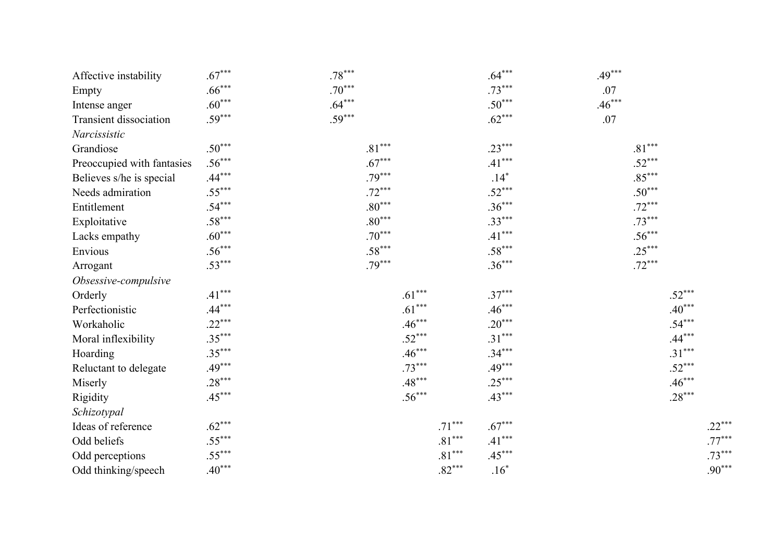| Affective instability         | $.67***$ | $.78***$ |          | $.64***$ | $.49***$ |          |
|-------------------------------|----------|----------|----------|----------|----------|----------|
| Empty                         | $.66***$ | $.70***$ |          | $.73***$ | .07      |          |
| Intense anger                 | $.60***$ | $.64***$ |          | $.50***$ | $.46***$ |          |
| <b>Transient dissociation</b> | $.59***$ | $.59***$ |          | $.62***$ | .07      |          |
| Narcissistic                  |          |          |          |          |          |          |
| Grandiose                     | $.50***$ | $.81***$ |          | $.23***$ | $.81***$ |          |
| Preoccupied with fantasies    | $.56***$ | $.67***$ |          | $.41***$ | $.52***$ |          |
| Believes s/he is special      | $.44***$ | $.79***$ |          | $.14*$   | $.85***$ |          |
| Needs admiration              | $.55***$ | $.72***$ |          | $.52***$ | $.50***$ |          |
| Entitlement                   | $.54***$ | $.80***$ |          | $.36***$ | $.72***$ |          |
| Exploitative                  | $.58***$ | $.80***$ |          | $.33***$ | $.73***$ |          |
| Lacks empathy                 | $.60***$ | $.70***$ |          | $.41***$ | $.56***$ |          |
| Envious                       | $.56***$ | $.58***$ |          | $.58***$ | $.25***$ |          |
| Arrogant                      | $.53***$ | $.79***$ |          | $.36***$ | $.72***$ |          |
| Obsessive-compulsive          |          |          |          |          |          |          |
| Orderly                       | $.41***$ |          | $.61***$ | $.37***$ |          | $.52***$ |
| Perfectionistic               | $.44***$ |          | $.61***$ | $.46***$ |          | $.40***$ |
| Workaholic                    | $.22***$ |          | $.46***$ | $.20***$ |          | $.54***$ |
| Moral inflexibility           | $.35***$ |          | $.52***$ | $.31***$ |          | $.44***$ |
| Hoarding                      | $.35***$ |          | $.46***$ | $.34***$ |          | $.31***$ |
| Reluctant to delegate         | $.49***$ |          | $.73***$ | $.49***$ |          | $.52***$ |
| Miserly                       | $.28***$ |          | $.48***$ | $.25***$ |          | $.46***$ |
| Rigidity                      | $.45***$ |          | $.56***$ | $.43***$ |          | $.28***$ |
| Schizotypal                   |          |          |          |          |          |          |
| Ideas of reference            | $.62***$ |          | $.71***$ | $.67***$ |          | $.22***$ |
| Odd beliefs                   | $.55***$ |          | $.81***$ | $.41***$ |          | $.77***$ |
| Odd perceptions               | $.55***$ |          | $.81***$ | $.45***$ |          | $.73***$ |
| Odd thinking/speech           | $.40***$ |          | $.82***$ | $.16*$   |          | $.90***$ |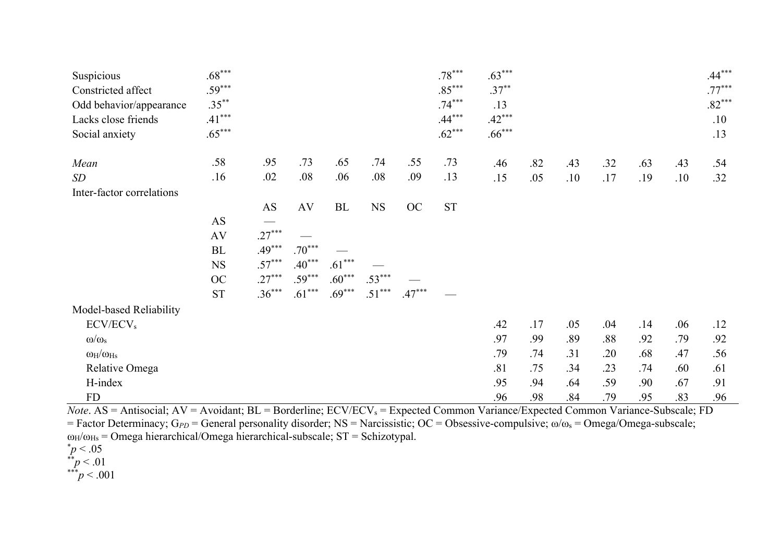| Suspicious                | $.68***$  |          |          |          |             |          | $.78***$            | $.63***$ |     |     |     |     |     | $.44***$ |
|---------------------------|-----------|----------|----------|----------|-------------|----------|---------------------|----------|-----|-----|-----|-----|-----|----------|
| Constricted affect        | $.59***$  |          |          |          |             |          | $.85***$            | $.37***$ |     |     |     |     |     | $.77***$ |
| Odd behavior/appearance   | $.35***$  |          |          |          |             |          | $.74***$            | .13      |     |     |     |     |     | $.82***$ |
| Lacks close friends       | $.41***$  |          |          |          |             |          | $.44***$            | $.42***$ |     |     |     |     |     | .10      |
| Social anxiety            | $.65***$  |          |          |          |             |          | $.62***$            | $.66***$ |     |     |     |     |     | .13      |
| Mean                      | .58       | .95      | .73      | .65      | .74         | .55      | .73                 | .46      | .82 | .43 | .32 | .63 | .43 | .54      |
| SD                        | .16       | .02      | .08      | .06      | .08         | .09      | .13                 | .15      | .05 | .10 | .17 | .19 | .10 | .32      |
| Inter-factor correlations |           |          |          |          |             |          |                     |          |     |     |     |     |     |          |
|                           |           | AS       | AV       | $\rm BL$ | $_{\rm NS}$ | OC       | $\operatorname{ST}$ |          |     |     |     |     |     |          |
|                           | AS        |          |          |          |             |          |                     |          |     |     |     |     |     |          |
|                           | AV        | $.27***$ |          |          |             |          |                     |          |     |     |     |     |     |          |
|                           | BL        | $.49***$ | $.70***$ |          |             |          |                     |          |     |     |     |     |     |          |
|                           | <b>NS</b> | $.57***$ | $.40***$ | $.61***$ |             |          |                     |          |     |     |     |     |     |          |
|                           | <b>OC</b> | $.27***$ | $.59***$ | $.60***$ | $.53***$    |          |                     |          |     |     |     |     |     |          |
|                           | <b>ST</b> | $.36***$ | $.61***$ | $.69***$ | $.51***$    | $.47***$ |                     |          |     |     |     |     |     |          |
| Model-based Reliability   |           |          |          |          |             |          |                     |          |     |     |     |     |     |          |
| ECV/ECV <sub>s</sub>      |           |          |          |          |             |          |                     | .42      | .17 | .05 | .04 | .14 | .06 | .12      |
| $\omega/\omega_{\rm s}$   |           |          |          |          |             |          |                     | .97      | .99 | .89 | .88 | .92 | .79 | .92      |
| $\omega_{H}/\omega_{Hs}$  |           |          |          |          |             |          |                     | .79      | .74 | .31 | .20 | .68 | .47 | .56      |
| Relative Omega            |           |          |          |          |             |          |                     | .81      | .75 | .34 | .23 | .74 | .60 | .61      |
| H-index                   |           |          |          |          |             |          |                     | .95      | .94 | .64 | .59 | .90 | .67 | .91      |
| FD                        |           |          |          |          |             |          |                     | .96      | .98 | .84 | .79 | .95 | .83 | .96      |

*Note*. AS = Antisocial; AV = Avoidant; BL = Borderline; ECV/ECV<sub>s</sub> = Expected Common Variance/Expected Common Variance-Subscale; FD = Factor Determinacy; G*PD* = General personality disorder; NS = Narcissistic; OC = Obsessive-compulsive; ω/ωs = Omega/Omega-subscale; ωH/ωHs = Omega hierarchical/Omega hierarchical-subscale; ST = Schizotypal.

\* *<sup>p</sup>*< .05 \*\**p* < .01

\*\*\**p* < .001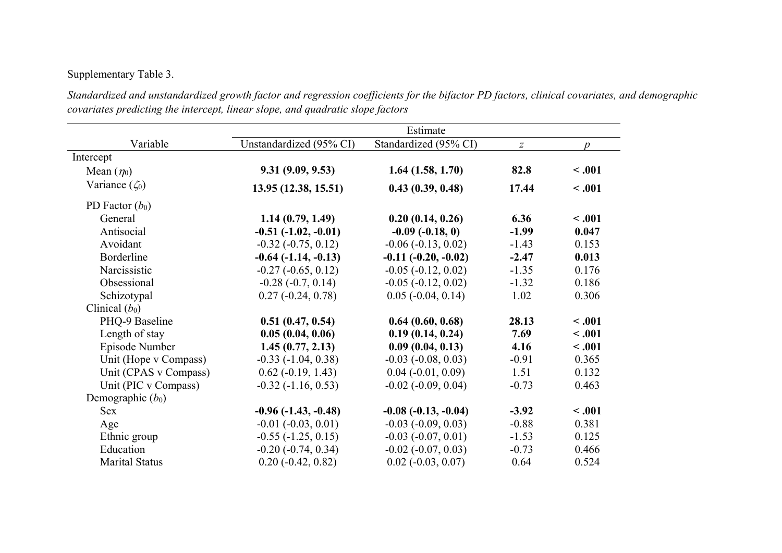Supplementary Table 3.

*Standardized and unstandardized growth factor and regression coefficients for the bifactor PD factors, clinical covariates, and demographic covariates predicting the intercept, linear slope, and quadratic slope factors*

|                       |                             | Estimate                    |                  |                  |
|-----------------------|-----------------------------|-----------------------------|------------------|------------------|
| Variable              | Unstandardized (95% CI)     | Standardized (95% CI)       | $\boldsymbol{Z}$ | $\boldsymbol{p}$ |
| Intercept             |                             |                             |                  |                  |
| Mean $(\eta_0)$       | 9.31(9.09, 9.53)            | 1.64(1.58, 1.70)            | 82.8             | < .001           |
| Variance $(\zeta_0)$  | 13.95 (12.38, 15.51)        | 0.43(0.39, 0.48)            | 17.44            | < .001           |
| PD Factor $(b_0)$     |                             |                             |                  |                  |
| General               | 1.14(0.79, 1.49)            | 0.20(0.14, 0.26)            | 6.36             | < .001           |
| Antisocial            | $-0.51$ $(-1.02, -0.01)$    | $-0.09(-0.18, 0)$           | $-1.99$          | 0.047            |
| Avoidant              | $-0.32$ $(-0.75, 0.12)$     | $-0.06$ $(-0.13, 0.02)$     | $-1.43$          | 0.153            |
| Borderline            | $-0.64$ $(-1.14, -0.13)$    | $-0.11$ $(-0.20, -0.02)$    | $-2.47$          | 0.013            |
| Narcissistic          | $-0.27(-0.65, 0.12)$        | $-0.05$ $(-0.12, 0.02)$     | $-1.35$          | 0.176            |
| Obsessional           | $-0.28(-0.7, 0.14)$         | $-0.05$ $(-0.12, 0.02)$     | $-1.32$          | 0.186            |
| Schizotypal           | $0.27(-0.24, 0.78)$         | $0.05$ ( $-0.04$ , $0.14$ ) | 1.02             | 0.306            |
| Clinical $(b_0)$      |                             |                             |                  |                  |
| PHQ-9 Baseline        | 0.51(0.47, 0.54)            | 0.64(0.60, 0.68)            | 28.13            | < .001           |
| Length of stay        | 0.05(0.04, 0.06)            | 0.19(0.14, 0.24)            | 7.69             | < .001           |
| Episode Number        | 1.45(0.77, 2.13)            | 0.09(0.04, 0.13)            | 4.16             | < .001           |
| Unit (Hope v Compass) | $-0.33(-1.04, 0.38)$        | $-0.03$ $(-0.08, 0.03)$     | $-0.91$          | 0.365            |
| Unit (CPAS v Compass) | $0.62$ ( $-0.19$ , 1.43)    | $0.04 (-0.01, 0.09)$        | 1.51             | 0.132            |
| Unit (PIC v Compass)  | $-0.32$ ( $-1.16$ , 0.53)   | $-0.02$ $(-0.09, 0.04)$     | $-0.73$          | 0.463            |
| Demographic $(b_0)$   |                             |                             |                  |                  |
| <b>Sex</b>            | $-0.96$ $(-1.43, -0.48)$    | $-0.08(-0.13,-0.04)$        | $-3.92$          | < .001           |
| Age                   | $-0.01$ $(-0.03, 0.01)$     | $-0.03$ $(-0.09, 0.03)$     | $-0.88$          | 0.381            |
| Ethnic group          | $-0.55(-1.25, 0.15)$        | $-0.03$ $(-0.07, 0.01)$     | $-1.53$          | 0.125            |
| Education             | $-0.20$ $(-0.74, 0.34)$     | $-0.02$ $(-0.07, 0.03)$     | $-0.73$          | 0.466            |
| <b>Marital Status</b> | $0.20$ ( $-0.42$ , $0.82$ ) | $0.02$ ( $-0.03$ , $0.07$ ) | 0.64             | 0.524            |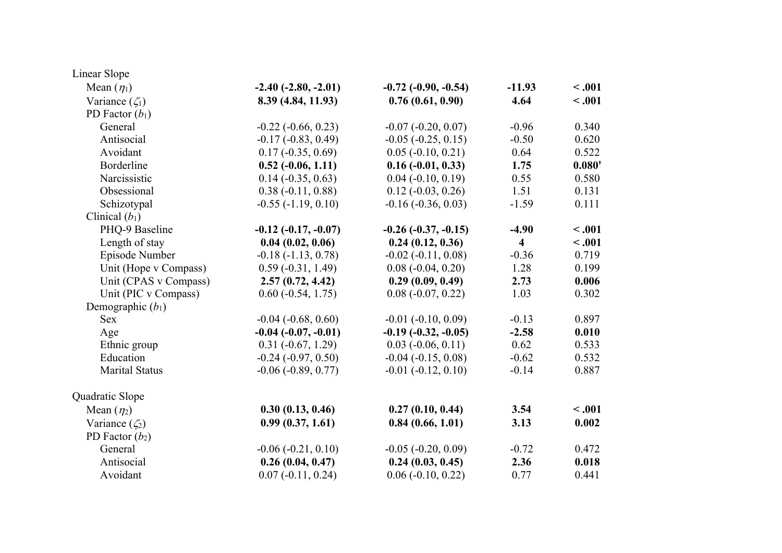| Linear Slope          |                          |                             |                         |             |
|-----------------------|--------------------------|-----------------------------|-------------------------|-------------|
| Mean $(\eta_1)$       | $-2.40(-2.80, -2.01)$    | $-0.72$ $(-0.90, -0.54)$    | $-11.93$                | < .001      |
| Variance $(\zeta_1)$  | 8.39 (4.84, 11.93)       | 0.76(0.61, 0.90)            | 4.64                    | < .001      |
| PD Factor $(b_1)$     |                          |                             |                         |             |
| General               | $-0.22$ $(-0.66, 0.23)$  | $-0.07$ $(-0.20, 0.07)$     | $-0.96$                 | 0.340       |
| Antisocial            | $-0.17(-0.83, 0.49)$     | $-0.05$ $(-0.25, 0.15)$     | $-0.50$                 | 0.620       |
| Avoidant              | $0.17(-0.35, 0.69)$      | $0.05$ ( $-0.10$ , $0.21$ ) | 0.64                    | 0.522       |
| Borderline            | $0.52(-0.06, 1.11)$      | $0.16(-0.01, 0.33)$         | 1.75                    | $0.080^{+}$ |
| Narcissistic          | $0.14(-0.35, 0.63)$      | $0.04$ ( $-0.10$ , $0.19$ ) | 0.55                    | 0.580       |
| Obsessional           | $0.38(-0.11, 0.88)$      | $0.12 (-0.03, 0.26)$        | 1.51                    | 0.131       |
| Schizotypal           | $-0.55$ $(-1.19, 0.10)$  | $-0.16$ $(-0.36, 0.03)$     | $-1.59$                 | 0.111       |
| Clinical $(b_1)$      |                          |                             |                         |             |
| PHQ-9 Baseline        | $-0.12$ $(-0.17, -0.07)$ | $-0.26$ $(-0.37, -0.15)$    | $-4.90$                 | < .001      |
| Length of stay        | 0.04(0.02, 0.06)         | 0.24(0.12, 0.36)            | $\overline{\mathbf{4}}$ | < .001      |
| Episode Number        | $-0.18(-1.13, 0.78)$     | $-0.02$ $(-0.11, 0.08)$     | $-0.36$                 | 0.719       |
| Unit (Hope v Compass) | $0.59(-0.31, 1.49)$      | $0.08(-0.04, 0.20)$         | 1.28                    | 0.199       |
| Unit (CPAS v Compass) | 2.57(0.72, 4.42)         | 0.29(0.09, 0.49)            | 2.73                    | 0.006       |
| Unit (PIC v Compass)  | $0.60$ ( $-0.54$ , 1.75) | $0.08(-0.07, 0.22)$         | 1.03                    | 0.302       |
| Demographic $(b_1)$   |                          |                             |                         |             |
| <b>Sex</b>            | $-0.04$ $(-0.68, 0.60)$  | $-0.01$ $(-0.10, 0.09)$     | $-0.13$                 | 0.897       |
| Age                   | $-0.04$ $(-0.07, -0.01)$ | $-0.19(-0.32, -0.05)$       | $-2.58$                 | 0.010       |
| Ethnic group          | $0.31 (-0.67, 1.29)$     | $0.03$ ( $-0.06$ , $0.11$ ) | 0.62                    | 0.533       |
| Education             | $-0.24$ $(-0.97, 0.50)$  | $-0.04$ $(-0.15, 0.08)$     | $-0.62$                 | 0.532       |
| <b>Marital Status</b> | $-0.06$ $(-0.89, 0.77)$  | $-0.01$ $(-0.12, 0.10)$     | $-0.14$                 | 0.887       |
| Quadratic Slope       |                          |                             |                         |             |
| Mean $(\eta_2)$       | 0.30(0.13, 0.46)         | 0.27(0.10, 0.44)            | 3.54                    | < .001      |
| Variance $(\zeta_2)$  | 0.99(0.37, 1.61)         | 0.84(0.66, 1.01)            | 3.13                    | 0.002       |
| PD Factor $(b_2)$     |                          |                             |                         |             |
| General               | $-0.06$ $(-0.21, 0.10)$  | $-0.05$ $(-0.20, 0.09)$     | $-0.72$                 | 0.472       |
| Antisocial            | 0.26(0.04, 0.47)         | 0.24(0.03, 0.45)            | 2.36                    | 0.018       |
| Avoidant              | $0.07(-0.11, 0.24)$      | $0.06$ ( $-0.10$ , $0.22$ ) | 0.77                    | 0.441       |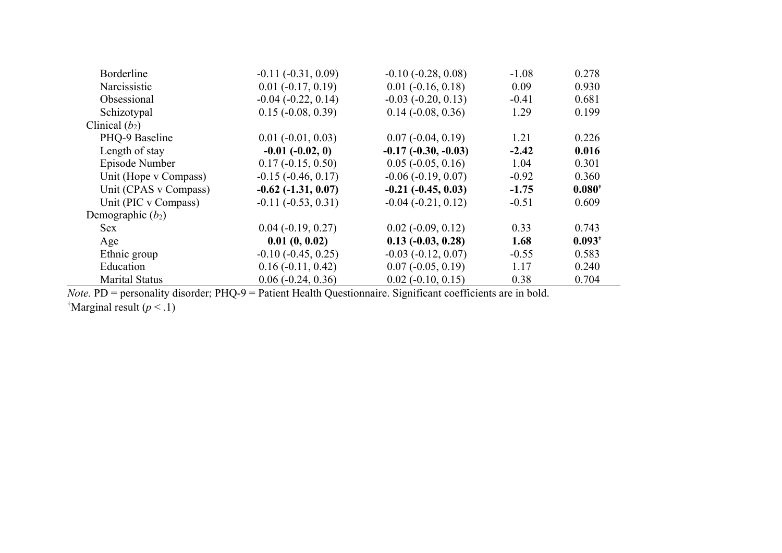| Borderline            | $-0.11(-0.31, 0.09)$        | $-0.10$ $(-0.28, 0.08)$     | $-1.08$ | 0.278                |
|-----------------------|-----------------------------|-----------------------------|---------|----------------------|
| Narcissistic          | $0.01 (-0.17, 0.19)$        | $0.01 (-0.16, 0.18)$        | 0.09    | 0.930                |
| Obsessional           | $-0.04$ $(-0.22, 0.14)$     | $-0.03$ $(-0.20, 0.13)$     | $-0.41$ | 0.681                |
| Schizotypal           | $0.15 (-0.08, 0.39)$        | $0.14(-0.08, 0.36)$         | 1.29    | 0.199                |
| Clinical $(b_2)$      |                             |                             |         |                      |
| PHQ-9 Baseline        | $0.01 (-0.01, 0.03)$        | $0.07$ ( $-0.04$ , $0.19$ ) | 1.21    | 0.226                |
| Length of stay        | $-0.01(-0.02, 0)$           | $-0.17$ $(-0.30, -0.03)$    | $-2.42$ | 0.016                |
| Episode Number        | $0.17(-0.15, 0.50)$         | $0.05 (-0.05, 0.16)$        | 1.04    | 0.301                |
| Unit (Hope v Compass) | $-0.15$ $(-0.46, 0.17)$     | $-0.06$ $(-0.19, 0.07)$     | $-0.92$ | 0.360                |
| Unit (CPAS v Compass) | $-0.62$ ( $-1.31, 0.07$ )   | $-0.21 (-0.45, 0.03)$       | $-1.75$ | $0.080*$             |
| Unit (PIC v Compass)  | $-0.11(-0.53, 0.31)$        | $-0.04$ $(-0.21, 0.12)$     | $-0.51$ | 0.609                |
| Demographic $(b_2)$   |                             |                             |         |                      |
| <b>Sex</b>            | $0.04 (-0.19, 0.27)$        | $0.02$ ( $-0.09$ , $0.12$ ) | 0.33    | 0.743                |
| Age                   | 0.01(0, 0.02)               | $0.13(-0.03, 0.28)$         | 1.68    | $0.093$ <sup>+</sup> |
| Ethnic group          | $-0.10(-0.45, 0.25)$        | $-0.03$ $(-0.12, 0.07)$     | $-0.55$ | 0.583                |
| Education             | $0.16(-0.11, 0.42)$         | $0.07(-0.05, 0.19)$         | 1.17    | 0.240                |
| <b>Marital Status</b> | $0.06$ ( $-0.24$ , $0.36$ ) | $0.02$ ( $-0.10, 0.15$ )    | 0.38    | 0.704                |
|                       |                             |                             |         |                      |

÷,

*Note.* PD = personality disorder; PHQ-9 = Patient Health Questionnaire. Significant coefficients are in bold.

<sup>†</sup>Marginal result  $(p < .1)$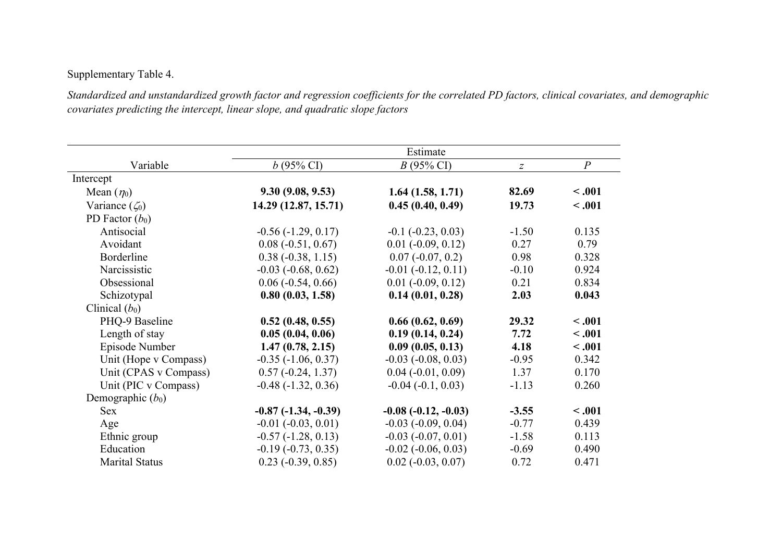Supplementary Table 4.

*Standardized and unstandardized growth factor and regression coefficients for the correlated PD factors, clinical covariates, and demographic covariates predicting the intercept, linear slope, and quadratic slope factors*

|                       |                             | Estimate                    |                  |                  |
|-----------------------|-----------------------------|-----------------------------|------------------|------------------|
| Variable              | $b(95\% \text{ CI})$        | $B(95\% \text{ CI})$        | $\boldsymbol{Z}$ | $\boldsymbol{P}$ |
| Intercept             |                             |                             |                  |                  |
| Mean $(\eta_0)$       | 9.30(9.08, 9.53)            | 1.64(1.58, 1.71)            | 82.69            | < .001           |
| Variance $(\zeta_0)$  | 14.29 (12.87, 15.71)        | 0.45(0.40, 0.49)            | 19.73            | $-.001$          |
| PD Factor $(b_0)$     |                             |                             |                  |                  |
| Antisocial            | $-0.56$ $(-1.29, 0.17)$     | $-0.1$ $(-0.23, 0.03)$      | $-1.50$          | 0.135            |
| Avoidant              | $0.08(-0.51, 0.67)$         | $0.01 (-0.09, 0.12)$        | 0.27             | 0.79             |
| Borderline            | $0.38(-0.38, 1.15)$         | $0.07 (-0.07, 0.2)$         | 0.98             | 0.328            |
| Narcissistic          | $-0.03$ $(-0.68, 0.62)$     | $-0.01$ $(-0.12, 0.11)$     | $-0.10$          | 0.924            |
| Obsessional           | $0.06$ ( $-0.54$ , $0.66$ ) | $0.01$ ( $-0.09$ , $0.12$ ) | 0.21             | 0.834            |
| Schizotypal           | 0.80(0.03, 1.58)            | 0.14(0.01, 0.28)            | 2.03             | 0.043            |
| Clinical $(b_0)$      |                             |                             |                  |                  |
| PHQ-9 Baseline        | 0.52(0.48, 0.55)            | 0.66(0.62, 0.69)            | 29.32            | $-.001$          |
| Length of stay        | 0.05(0.04, 0.06)            | 0.19(0.14, 0.24)            | 7.72             | $-.001$          |
| Episode Number        | 1.47(0.78, 2.15)            | 0.09(0.05, 0.13)            | 4.18             | < .001           |
| Unit (Hope v Compass) | $-0.35$ $(-1.06, 0.37)$     | $-0.03$ $(-0.08, 0.03)$     | $-0.95$          | 0.342            |
| Unit (CPAS v Compass) | $0.57(-0.24, 1.37)$         | $0.04 (-0.01, 0.09)$        | 1.37             | 0.170            |
| Unit (PIC v Compass)  | $-0.48(-1.32, 0.36)$        | $-0.04$ ( $-0.1, 0.03$ )    | $-1.13$          | 0.260            |
| Demographic $(b_0)$   |                             |                             |                  |                  |
| Sex                   | $-0.87$ $(-1.34, -0.39)$    | $-0.08(-0.12,-0.03)$        | $-3.55$          | $-.001$          |
| Age                   | $-0.01$ $(-0.03, 0.01)$     | $-0.03$ $(-0.09, 0.04)$     | $-0.77$          | 0.439            |
| Ethnic group          | $-0.57$ $(-1.28, 0.13)$     | $-0.03$ $(-0.07, 0.01)$     | $-1.58$          | 0.113            |
| Education             | $-0.19(-0.73, 0.35)$        | $-0.02$ $(-0.06, 0.03)$     | $-0.69$          | 0.490            |
| Marital Status        | $0.23$ ( $-0.39$ , $0.85$ ) | $0.02$ ( $-0.03$ , $0.07$ ) | 0.72             | 0.471            |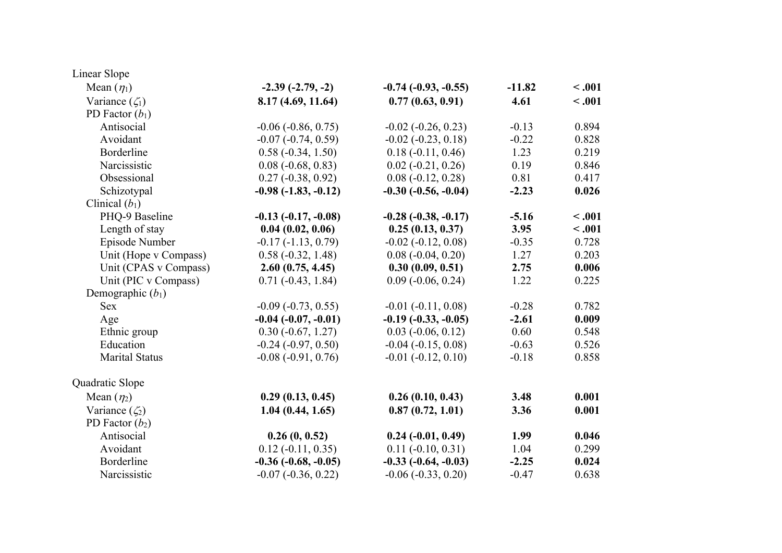| Linear Slope          |                          |                             |          |        |
|-----------------------|--------------------------|-----------------------------|----------|--------|
| Mean $(\eta_1)$       | $-2.39(-2.79,-2)$        | $-0.74$ $(-0.93, -0.55)$    | $-11.82$ | < .001 |
| Variance $(\zeta_1)$  | 8.17 (4.69, 11.64)       | 0.77(0.63, 0.91)            | 4.61     | < .001 |
| PD Factor $(b_1)$     |                          |                             |          |        |
| Antisocial            | $-0.06$ $(-0.86, 0.75)$  | $-0.02$ $(-0.26, 0.23)$     | $-0.13$  | 0.894  |
| Avoidant              | $-0.07$ $(-0.74, 0.59)$  | $-0.02$ $(-0.23, 0.18)$     | $-0.22$  | 0.828  |
| Borderline            | $0.58(-0.34, 1.50)$      | $0.18(-0.11, 0.46)$         | 1.23     | 0.219  |
| Narcissistic          | $0.08 (-0.68, 0.83)$     | $0.02$ ( $-0.21, 0.26$ )    | 0.19     | 0.846  |
| Obsessional           | $0.27(-0.38, 0.92)$      | $0.08(-0.12, 0.28)$         | 0.81     | 0.417  |
| Schizotypal           | $-0.98(-1.83, -0.12)$    | $-0.30$ $(-0.56, -0.04)$    | $-2.23$  | 0.026  |
| Clinical $(b_1)$      |                          |                             |          |        |
| PHQ-9 Baseline        | $-0.13$ $(-0.17, -0.08)$ | $-0.28$ $(-0.38, -0.17)$    | $-5.16$  | < .001 |
| Length of stay        | 0.04(0.02, 0.06)         | 0.25(0.13, 0.37)            | 3.95     | < .001 |
| Episode Number        | $-0.17(-1.13, 0.79)$     | $-0.02$ $(-0.12, 0.08)$     | $-0.35$  | 0.728  |
| Unit (Hope v Compass) | $0.58(-0.32, 1.48)$      | $0.08(-0.04, 0.20)$         | 1.27     | 0.203  |
| Unit (CPAS v Compass) | 2.60(0.75, 4.45)         | 0.30(0.09, 0.51)            | 2.75     | 0.006  |
| Unit (PIC v Compass)  | $0.71(-0.43, 1.84)$      | $0.09$ ( $-0.06$ , $0.24$ ) | 1.22     | 0.225  |
| Demographic $(b_1)$   |                          |                             |          |        |
| Sex                   | $-0.09$ $(-0.73, 0.55)$  | $-0.01$ $(-0.11, 0.08)$     | $-0.28$  | 0.782  |
| Age                   | $-0.04$ $(-0.07, -0.01)$ | $-0.19$ $(-0.33, -0.05)$    | $-2.61$  | 0.009  |
| Ethnic group          | $0.30 (-0.67, 1.27)$     | $0.03$ ( $-0.06$ , $0.12$ ) | 0.60     | 0.548  |
| Education             | $-0.24$ $(-0.97, 0.50)$  | $-0.04$ $(-0.15, 0.08)$     | $-0.63$  | 0.526  |
| <b>Marital Status</b> | $-0.08(-0.91, 0.76)$     | $-0.01$ $(-0.12, 0.10)$     | $-0.18$  | 0.858  |
| Quadratic Slope       |                          |                             |          |        |
| Mean $(\eta_2)$       | 0.29(0.13, 0.45)         | 0.26(0.10, 0.43)            | 3.48     | 0.001  |
| Variance $(\zeta_2)$  | 1.04(0.44, 1.65)         | 0.87(0.72, 1.01)            | 3.36     | 0.001  |
| PD Factor $(b_2)$     |                          |                             |          |        |
| Antisocial            | 0.26(0, 0.52)            | $0.24 (-0.01, 0.49)$        | 1.99     | 0.046  |
| Avoidant              | $0.12 (-0.11, 0.35)$     | $0.11 (-0.10, 0.31)$        | 1.04     | 0.299  |
| Borderline            | $-0.36$ $(-0.68, -0.05)$ | $-0.33$ $(-0.64, -0.03)$    | $-2.25$  | 0.024  |
| Narcissistic          | $-0.07 (-0.36, 0.22)$    | $-0.06$ $(-0.33, 0.20)$     | $-0.47$  | 0.638  |